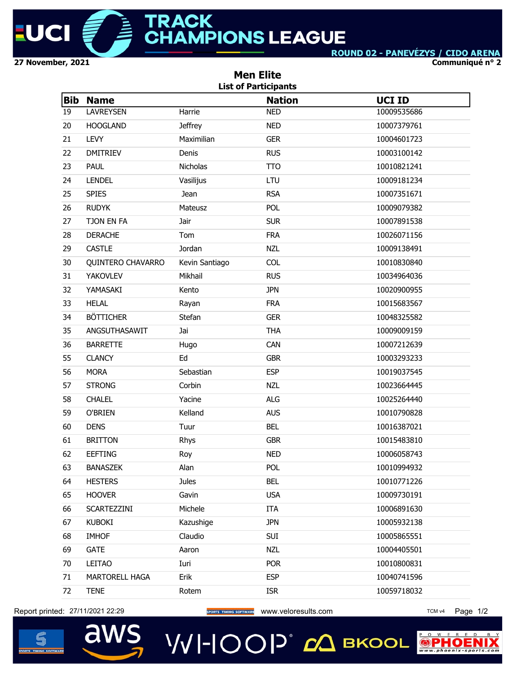

**Communiqué n° 2**

|            |                   |                | <b>Men Elite</b><br><b>List of Participants</b> |               |
|------------|-------------------|----------------|-------------------------------------------------|---------------|
| <b>Bib</b> | <b>Name</b>       |                | <b>Nation</b>                                   | <b>UCI ID</b> |
| 19         | <b>LAVREYSEN</b>  | Harrie         | <b>NED</b>                                      | 10009535686   |
| 20         | <b>HOOGLAND</b>   | <b>Jeffrey</b> | <b>NED</b>                                      | 10007379761   |
| 21         | <b>LEVY</b>       | Maximilian     | <b>GER</b>                                      | 10004601723   |
| 22         | <b>DMITRIEV</b>   | Denis          | <b>RUS</b>                                      | 10003100142   |
| 23         | <b>PAUL</b>       | Nicholas       | <b>TTO</b>                                      | 10010821241   |
| 24         | <b>LENDEL</b>     | Vasilijus      | LTU                                             | 10009181234   |
| 25         | <b>SPIES</b>      | Jean           | <b>RSA</b>                                      | 10007351671   |
| 26         | <b>RUDYK</b>      | Mateusz        | POL                                             | 10009079382   |
| 27         | TJON EN FA        | Jair           | <b>SUR</b>                                      | 10007891538   |
| 28         | <b>DERACHE</b>    | Tom            | <b>FRA</b>                                      | 10026071156   |
| 29         | <b>CASTLE</b>     | Jordan         | <b>NZL</b>                                      | 10009138491   |
| 30         | QUINTERO CHAVARRO | Kevin Santiago | <b>COL</b>                                      | 10010830840   |
| 31         | <b>YAKOVLEV</b>   | Mikhail        | <b>RUS</b>                                      | 10034964036   |
| 32         | YAMASAKI          | Kento          | <b>JPN</b>                                      | 10020900955   |
| 33         | <b>HELAL</b>      | Rayan          | <b>FRA</b>                                      | 10015683567   |
| 34         | <b>BÖTTICHER</b>  | Stefan         | <b>GER</b>                                      | 10048325582   |
| 35         | ANGSUTHASAWIT     | Jai            | <b>THA</b>                                      | 10009009159   |
| 36         | <b>BARRETTE</b>   | Hugo           | CAN                                             | 10007212639   |
| 55         | <b>CLANCY</b>     | Ed             | <b>GBR</b>                                      | 10003293233   |
| 56         | <b>MORA</b>       | Sebastian      | <b>ESP</b>                                      | 10019037545   |
| 57         | <b>STRONG</b>     | Corbin         | <b>NZL</b>                                      | 10023664445   |
| 58         | <b>CHALEL</b>     | Yacine         | <b>ALG</b>                                      | 10025264440   |
| 59         | O'BRIEN           | Kelland        | <b>AUS</b>                                      | 10010790828   |
| 60         | <b>DENS</b>       | Tuur           | <b>BEL</b>                                      | 10016387021   |
| 61         | <b>BRITTON</b>    | Rhys           | <b>GBR</b>                                      | 10015483810   |
| 62         | <b>EEFTING</b>    | Roy            | NED.                                            | 10006058743   |
| 63         | <b>BANASZEK</b>   | Alan           | <b>POL</b>                                      | 10010994932   |
| 64         | <b>HESTERS</b>    | <b>Jules</b>   | <b>BEL</b>                                      | 10010771226   |
| 65         | <b>HOOVER</b>     | Gavin          | <b>USA</b>                                      | 10009730191   |
| 66         | SCARTEZZINI       | Michele        | <b>ITA</b>                                      | 10006891630   |
| 67         | <b>KUBOKI</b>     | Kazushige      | <b>JPN</b>                                      | 10005932138   |
| 68         | <b>IMHOF</b>      | Claudio        | SUI                                             | 10005865551   |
| 69         | <b>GATE</b>       | Aaron          | <b>NZL</b>                                      | 10004405501   |
| 70         | LEITAO            | Iuri           | <b>POR</b>                                      | 10010800831   |
| 71         | MARTORELL HAGA    | Erik           | <b>ESP</b>                                      | 10040741596   |
| 72         | <b>TENE</b>       | Rotem          | <b>ISR</b>                                      | 10059718032   |
|            |                   |                |                                                 |               |

Report printed: 27/11/2021 22:29 **Website the SPORTS TIMING SOFTWARE** WWW.Veloresults.com TCM V4 Page 1/2



aws **VVI-IOOP** ДВКООL

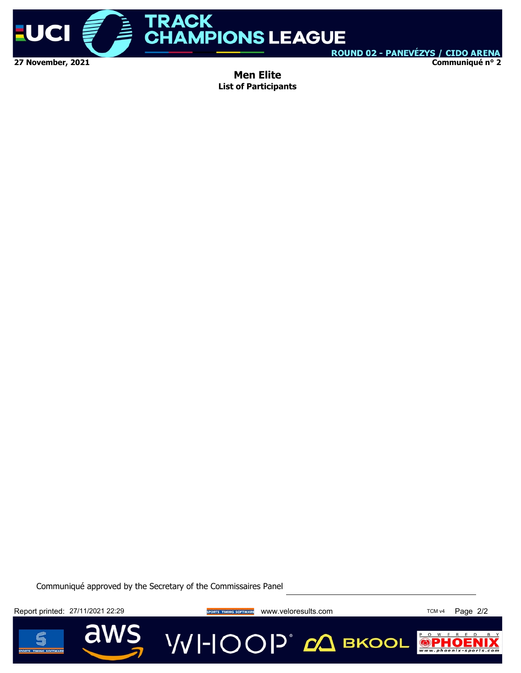

**Communiqué n° 2**

**Men Elite List of Participants**

Communiqué approved by the Secretary of the Commissaires Panel

Report printed: 27/11/2021 22:29 **Website the SPORTS TIMING SOFTWARE** WWW.Veloresults.com TCM V4 Page 2/2

a

**VVI-IOOP** CA BKOOL



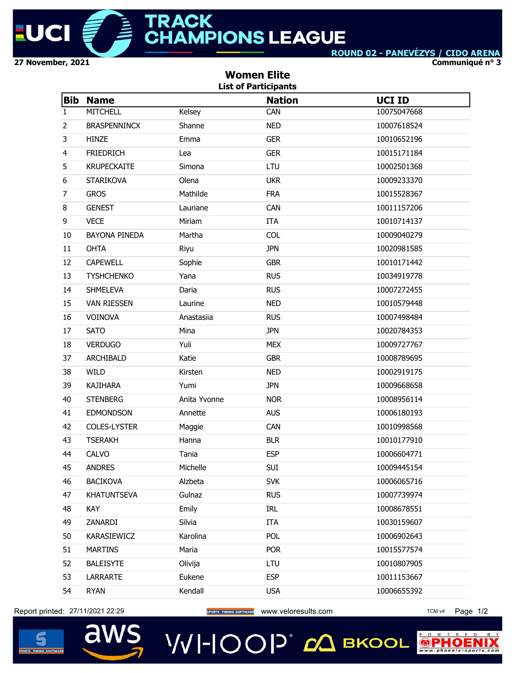

**Communiqué n° 3**

| <b>Bib</b><br>$\mathbf{1}$<br>$\overline{2}$<br>3<br>4<br>5<br>6<br>7<br><b>GROS</b><br>8<br>9<br><b>VECE</b><br>10<br>11<br><b>OHTA</b><br>12<br>13<br>14<br>15<br>16<br><b>SATO</b><br>17<br>18<br>37<br>38<br><b>WILD</b><br>39<br>40<br>41<br>42<br>43<br>44<br>45 | <b>Name</b><br><b>MITCHELL</b><br><b>BRASPENNINCX</b><br><b>HINZE</b><br><b>FRIEDRICH</b><br><b>KRUPECKAITE</b><br><b>STARIKOVA</b><br><b>GENEST</b><br><b>BAYONA PINEDA</b><br><b>CAPEWELL</b><br><b>TYSHCHENKO</b><br><b>SHMELEVA</b><br><b>VAN RIESSEN</b><br>VOINOVA<br><b>VERDUGO</b> | Kelsey<br>Shanne<br>Emma<br>Lea<br>Simona<br>Olena<br>Mathilde<br>Lauriane<br>Miriam<br>Martha<br>Riyu<br>Sophie<br>Yana<br>Daria<br>Laurine<br>Anastasiia<br>Mina | <b>Nation</b><br>CAN<br><b>NED</b><br><b>GER</b><br><b>GER</b><br>LTU<br><b>UKR</b><br><b>FRA</b><br>CAN<br><b>ITA</b><br><b>COL</b><br><b>JPN</b><br><b>GBR</b><br><b>RUS</b><br><b>RUS</b><br><b>NED</b><br><b>RUS</b><br><b>JPN</b> | <b>UCI ID</b><br>10075047668<br>10007618524<br>10010652196<br>10015171184<br>10002501368<br>10009233370<br>10015528367<br>10011157206<br>10010714137<br>10009040279<br>10020981585<br>10010171442<br>10034919778<br>10007272455<br>10010579448<br>10007498484<br>10020784353 |
|------------------------------------------------------------------------------------------------------------------------------------------------------------------------------------------------------------------------------------------------------------------------|--------------------------------------------------------------------------------------------------------------------------------------------------------------------------------------------------------------------------------------------------------------------------------------------|--------------------------------------------------------------------------------------------------------------------------------------------------------------------|----------------------------------------------------------------------------------------------------------------------------------------------------------------------------------------------------------------------------------------|------------------------------------------------------------------------------------------------------------------------------------------------------------------------------------------------------------------------------------------------------------------------------|
|                                                                                                                                                                                                                                                                        |                                                                                                                                                                                                                                                                                            |                                                                                                                                                                    |                                                                                                                                                                                                                                        |                                                                                                                                                                                                                                                                              |
|                                                                                                                                                                                                                                                                        |                                                                                                                                                                                                                                                                                            |                                                                                                                                                                    |                                                                                                                                                                                                                                        |                                                                                                                                                                                                                                                                              |
|                                                                                                                                                                                                                                                                        |                                                                                                                                                                                                                                                                                            |                                                                                                                                                                    |                                                                                                                                                                                                                                        |                                                                                                                                                                                                                                                                              |
|                                                                                                                                                                                                                                                                        |                                                                                                                                                                                                                                                                                            |                                                                                                                                                                    |                                                                                                                                                                                                                                        |                                                                                                                                                                                                                                                                              |
|                                                                                                                                                                                                                                                                        |                                                                                                                                                                                                                                                                                            |                                                                                                                                                                    |                                                                                                                                                                                                                                        |                                                                                                                                                                                                                                                                              |
|                                                                                                                                                                                                                                                                        |                                                                                                                                                                                                                                                                                            |                                                                                                                                                                    |                                                                                                                                                                                                                                        |                                                                                                                                                                                                                                                                              |
|                                                                                                                                                                                                                                                                        |                                                                                                                                                                                                                                                                                            |                                                                                                                                                                    |                                                                                                                                                                                                                                        |                                                                                                                                                                                                                                                                              |
|                                                                                                                                                                                                                                                                        |                                                                                                                                                                                                                                                                                            |                                                                                                                                                                    |                                                                                                                                                                                                                                        |                                                                                                                                                                                                                                                                              |
|                                                                                                                                                                                                                                                                        |                                                                                                                                                                                                                                                                                            |                                                                                                                                                                    |                                                                                                                                                                                                                                        |                                                                                                                                                                                                                                                                              |
|                                                                                                                                                                                                                                                                        |                                                                                                                                                                                                                                                                                            |                                                                                                                                                                    |                                                                                                                                                                                                                                        |                                                                                                                                                                                                                                                                              |
|                                                                                                                                                                                                                                                                        |                                                                                                                                                                                                                                                                                            |                                                                                                                                                                    |                                                                                                                                                                                                                                        |                                                                                                                                                                                                                                                                              |
|                                                                                                                                                                                                                                                                        |                                                                                                                                                                                                                                                                                            |                                                                                                                                                                    |                                                                                                                                                                                                                                        |                                                                                                                                                                                                                                                                              |
|                                                                                                                                                                                                                                                                        |                                                                                                                                                                                                                                                                                            |                                                                                                                                                                    |                                                                                                                                                                                                                                        |                                                                                                                                                                                                                                                                              |
|                                                                                                                                                                                                                                                                        |                                                                                                                                                                                                                                                                                            |                                                                                                                                                                    |                                                                                                                                                                                                                                        |                                                                                                                                                                                                                                                                              |
|                                                                                                                                                                                                                                                                        |                                                                                                                                                                                                                                                                                            |                                                                                                                                                                    |                                                                                                                                                                                                                                        |                                                                                                                                                                                                                                                                              |
|                                                                                                                                                                                                                                                                        |                                                                                                                                                                                                                                                                                            |                                                                                                                                                                    |                                                                                                                                                                                                                                        |                                                                                                                                                                                                                                                                              |
|                                                                                                                                                                                                                                                                        |                                                                                                                                                                                                                                                                                            |                                                                                                                                                                    |                                                                                                                                                                                                                                        |                                                                                                                                                                                                                                                                              |
|                                                                                                                                                                                                                                                                        |                                                                                                                                                                                                                                                                                            |                                                                                                                                                                    |                                                                                                                                                                                                                                        |                                                                                                                                                                                                                                                                              |
|                                                                                                                                                                                                                                                                        |                                                                                                                                                                                                                                                                                            | Yuli                                                                                                                                                               | <b>MEX</b>                                                                                                                                                                                                                             | 10009727767                                                                                                                                                                                                                                                                  |
|                                                                                                                                                                                                                                                                        | ARCHIBALD                                                                                                                                                                                                                                                                                  | Katie                                                                                                                                                              | <b>GBR</b>                                                                                                                                                                                                                             | 10008789695                                                                                                                                                                                                                                                                  |
|                                                                                                                                                                                                                                                                        |                                                                                                                                                                                                                                                                                            | Kirsten                                                                                                                                                            | <b>NED</b>                                                                                                                                                                                                                             | 10002919175                                                                                                                                                                                                                                                                  |
|                                                                                                                                                                                                                                                                        | <b>KAJIHARA</b>                                                                                                                                                                                                                                                                            | Yumi                                                                                                                                                               | <b>JPN</b>                                                                                                                                                                                                                             | 10009668658                                                                                                                                                                                                                                                                  |
|                                                                                                                                                                                                                                                                        | <b>STENBERG</b>                                                                                                                                                                                                                                                                            | Anita Yvonne                                                                                                                                                       | <b>NOR</b>                                                                                                                                                                                                                             | 10008956114                                                                                                                                                                                                                                                                  |
|                                                                                                                                                                                                                                                                        | <b>EDMONDSON</b>                                                                                                                                                                                                                                                                           | Annette                                                                                                                                                            | <b>AUS</b>                                                                                                                                                                                                                             | 10006180193                                                                                                                                                                                                                                                                  |
|                                                                                                                                                                                                                                                                        | <b>COLES-LYSTER</b>                                                                                                                                                                                                                                                                        | Maggie                                                                                                                                                             | CAN                                                                                                                                                                                                                                    | 10010998568                                                                                                                                                                                                                                                                  |
|                                                                                                                                                                                                                                                                        | <b>TSERAKH</b>                                                                                                                                                                                                                                                                             | Hanna                                                                                                                                                              | <b>BLR</b>                                                                                                                                                                                                                             | 10010177910                                                                                                                                                                                                                                                                  |
|                                                                                                                                                                                                                                                                        | CALVO                                                                                                                                                                                                                                                                                      | Tania                                                                                                                                                              | <b>ESP</b>                                                                                                                                                                                                                             | 10006604771                                                                                                                                                                                                                                                                  |
|                                                                                                                                                                                                                                                                        | <b>ANDRES</b>                                                                                                                                                                                                                                                                              | Michelle                                                                                                                                                           | SUI                                                                                                                                                                                                                                    | 10009445154                                                                                                                                                                                                                                                                  |
| 46                                                                                                                                                                                                                                                                     | <b>BACIKOVA</b>                                                                                                                                                                                                                                                                            | Alzbeta                                                                                                                                                            | <b>SVK</b>                                                                                                                                                                                                                             | 10006065716                                                                                                                                                                                                                                                                  |
| 47                                                                                                                                                                                                                                                                     | <b>KHATUNTSEVA</b>                                                                                                                                                                                                                                                                         | Gulnaz                                                                                                                                                             | <b>RUS</b>                                                                                                                                                                                                                             | 10007739974                                                                                                                                                                                                                                                                  |
| KAY<br>48                                                                                                                                                                                                                                                              |                                                                                                                                                                                                                                                                                            | Emily                                                                                                                                                              | IRL                                                                                                                                                                                                                                    | 10008678551                                                                                                                                                                                                                                                                  |
| 49                                                                                                                                                                                                                                                                     | ZANARDI                                                                                                                                                                                                                                                                                    | Silvia                                                                                                                                                             | <b>ITA</b>                                                                                                                                                                                                                             | 10030159607                                                                                                                                                                                                                                                                  |
| 50                                                                                                                                                                                                                                                                     | KARASIEWICZ                                                                                                                                                                                                                                                                                | Karolina                                                                                                                                                           | POL                                                                                                                                                                                                                                    | 10006902643                                                                                                                                                                                                                                                                  |
| 51                                                                                                                                                                                                                                                                     | <b>MARTINS</b>                                                                                                                                                                                                                                                                             | Maria                                                                                                                                                              | <b>POR</b>                                                                                                                                                                                                                             | 10015577574                                                                                                                                                                                                                                                                  |
| 52                                                                                                                                                                                                                                                                     | <b>BALEISYTE</b>                                                                                                                                                                                                                                                                           | Olivija                                                                                                                                                            | LTU                                                                                                                                                                                                                                    | 10010807905                                                                                                                                                                                                                                                                  |
| 53                                                                                                                                                                                                                                                                     |                                                                                                                                                                                                                                                                                            | Eukene                                                                                                                                                             | <b>ESP</b>                                                                                                                                                                                                                             | 10011153667                                                                                                                                                                                                                                                                  |
| 54<br><b>RYAN</b>                                                                                                                                                                                                                                                      | <b>LARRARTE</b>                                                                                                                                                                                                                                                                            |                                                                                                                                                                    | <b>USA</b>                                                                                                                                                                                                                             | 10006655392                                                                                                                                                                                                                                                                  |

Report printed: 27/11/2021 22:29 **Website the SPORTS TIMING SOFTWARE** WWW.Veloresults.com TCM V4 Page 1/2

aws



**VVI-IOOP** ДВКООL

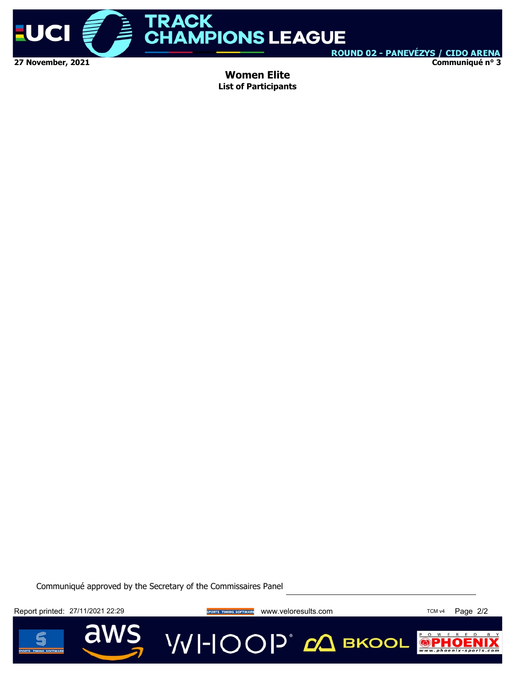

**Communiqué n° 3**

**Women Elite List of Participants**

Communiqué approved by the Secretary of the Commissaires Panel

Report printed: 27/11/2021 22:29 **Website the SPORTS TIMING SOFTWARE** WWW.Veloresults.com TCM V4 Page 2/2

a



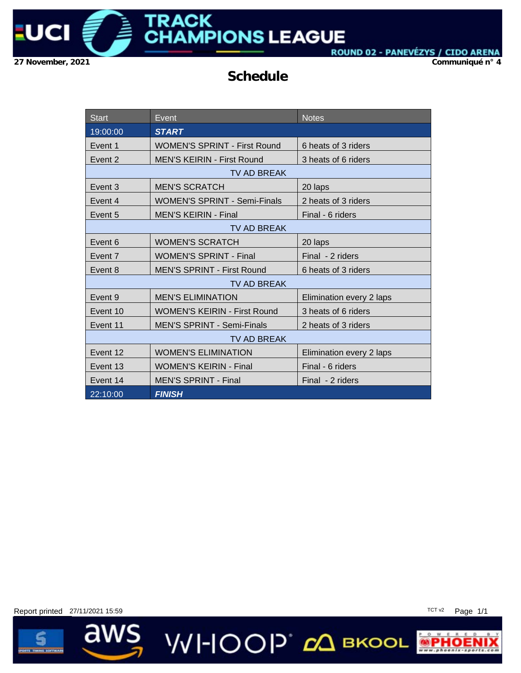

**Communiqué n° 4**

### **Schedule**

| <b>Start</b> | Event                               | <b>Notes</b>             |  |  |  |  |
|--------------|-------------------------------------|--------------------------|--|--|--|--|
| 19:00:00     | <b>START</b>                        |                          |  |  |  |  |
| Event 1      | <b>WOMEN'S SPRINT - First Round</b> | 6 heats of 3 riders      |  |  |  |  |
| Event 2      | <b>MEN'S KEIRIN - First Round</b>   | 3 heats of 6 riders      |  |  |  |  |
|              | TV AD BREAK                         |                          |  |  |  |  |
| Event 3      | <b>MEN'S SCRATCH</b>                | 20 laps                  |  |  |  |  |
| Event 4      | <b>WOMEN'S SPRINT - Semi-Finals</b> | 2 heats of 3 riders      |  |  |  |  |
| Event 5      | <b>MEN'S KEIRIN - Final</b>         | Final - 6 riders         |  |  |  |  |
|              | <b>TV AD BREAK</b>                  |                          |  |  |  |  |
| Event 6      | <b>WOMEN'S SCRATCH</b>              | 20 laps                  |  |  |  |  |
| Event 7      | <b>WOMEN'S SPRINT - Final</b>       | Final - 2 riders         |  |  |  |  |
| Event 8      | <b>MEN'S SPRINT - First Round</b>   | 6 heats of 3 riders      |  |  |  |  |
|              | <b>TV AD BREAK</b>                  |                          |  |  |  |  |
| Event 9      | <b>MEN'S ELIMINATION</b>            | Elimination every 2 laps |  |  |  |  |
| Event 10     | <b>WOMEN'S KEIRIN - First Round</b> | 3 heats of 6 riders      |  |  |  |  |
| Event 11     | <b>MEN'S SPRINT - Semi-Finals</b>   | 2 heats of 3 riders      |  |  |  |  |
|              | TV AD BREAK                         |                          |  |  |  |  |
| Event 12     | <b>WOMEN'S ELIMINATION</b>          | Elimination every 2 laps |  |  |  |  |
| Event 13     | <b>WOMEN'S KEIRIN - Final</b>       | Final - 6 riders         |  |  |  |  |
| Event 14     | <b>MEN'S SPRINT - Final</b>         | Final - 2 riders         |  |  |  |  |
| 22:10:00     | <b>FINISH</b>                       |                          |  |  |  |  |

**VVI-IOOP** ДВКООL

Report printed 27/11/2021 15:59 TCT v2 Page 1/1

í

ī

aws



 $\bullet$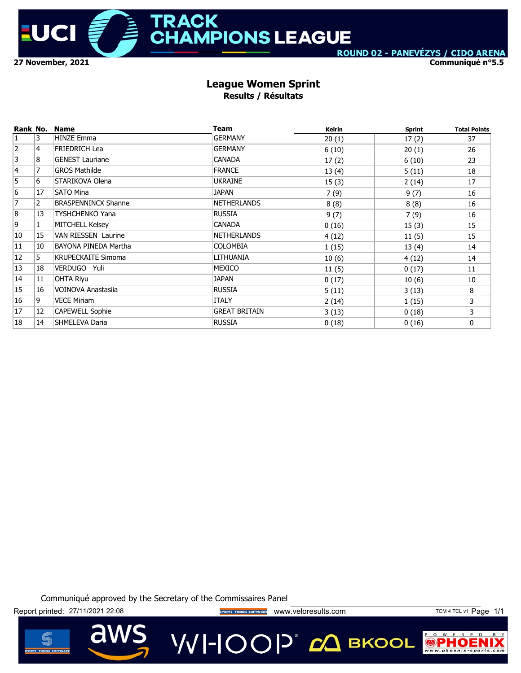

ROUND 02 - PANEVÉZYS / CIDO ARENA **Communiqué n°5.5**

#### **League Women Sprint Results / Résultats**

| Rank No.       |                | <b>Name</b>                | Team                 | Keirin | <b>Sprint</b> | <b>Total Points</b> |
|----------------|----------------|----------------------------|----------------------|--------|---------------|---------------------|
| $\vert$ 1      | 3              | <b>HINZE Emma</b>          | <b>GERMANY</b>       | 20(1)  | 17(2)         | 37                  |
| $\overline{2}$ | 4              | FRIEDRICH Lea              | <b>GERMANY</b>       | 6(10)  | 20(1)         | 26                  |
| $\overline{3}$ | 8              | <b>GENEST Lauriane</b>     | <b>CANADA</b>        | 17(2)  | 6(10)         | 23                  |
| 4              | $\overline{7}$ | <b>GROS Mathilde</b>       | <b>FRANCE</b>        | 13(4)  | 5(11)         | 18                  |
| $\overline{5}$ | 6              | STARIKOVA Olena            | <b>UKRAINE</b>       | 15(3)  | 2(14)         | 17                  |
| $\overline{6}$ | 17             | <b>SATO Mina</b>           | JAPAN                | 7(9)   | 9(7)          | 16                  |
| $\overline{7}$ | $\overline{2}$ | <b>BRASPENNINCX Shanne</b> | <b>NETHERLANDS</b>   | 8(8)   | 8(8)          | 16                  |
| 8              | 13             | <b>TYSHCHENKO Yana</b>     | <b>RUSSIA</b>        | 9(7)   | 7(9)          | 16                  |
| 9              | $\mathbf{1}$   | MITCHELL Kelsey            | CANADA               | 0(16)  | 15(3)         | 15                  |
| 10             | 15             | VAN RIESSEN Laurine        | NETHERLANDS          | 4(12)  | 11(5)         | 15                  |
| 11             | 10             | BAYONA PINEDA Martha       | <b>COLOMBIA</b>      | 1(15)  | 13(4)         | 14                  |
| 12             | 5              | KRUPECKAITE Simoma         | LITHUANIA            | 10(6)  | 4(12)         | 14                  |
| 13             | 18             | VERDUGO Yuli               | MEXICO               | 11(5)  | 0(17)         | 11                  |
| 14             | 11             | <b>OHTA Riyu</b>           | JAPAN                | 0(17)  | 10(6)         | 10                  |
| 15             | 16             | VOINOVA Anastasija         | <b>RUSSIA</b>        | 5(11)  | 3(13)         | 8                   |
| 16             | 9              | VECE Miriam                | <b>ITALY</b>         | 2(14)  | 1(15)         | 3                   |
| 17             | 12             | <b>CAPEWELL Sophie</b>     | <b>GREAT BRITAIN</b> | 3(13)  | 0(18)         | 3                   |
| 18             | 14             | SHMELEVA Daria             | <b>RUSSIA</b>        | 0(18)  | 0(16)         | 0                   |

Communiqué approved by the Secretary of the Commissaires Panel

Report printed: 27/11/2021 22:08 external sports TIMING SOFTWARE WWW.Veloresults.com TCM 4 TCL v1 Page 1/1

VVI-IOOP® сД вкооц



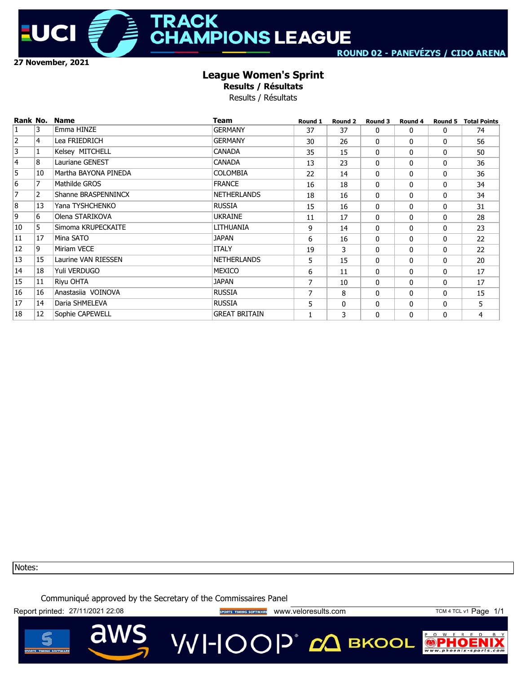

## **TRACK HAMPIONS LEAGUE**

### **League Women's Sprint**

**Results / Résultats**

Results / Résultats

| Rank No.       |    | <b>Name</b>            | <b>Team</b>          | Round 1 | Round 2      | Round 3      | Round 4 | Round 5  | <b>Total Points</b> |
|----------------|----|------------------------|----------------------|---------|--------------|--------------|---------|----------|---------------------|
| 1              | 3  | Emma HINZE             | <b>GERMANY</b>       | 37      | 37           | 0            | 0       | 0        | 74                  |
| $\overline{2}$ | 4  | Lea FRIEDRICH          | <b>GERMANY</b>       | 30      | 26           | $\Omega$     | 0       | 0        | 56                  |
| 3              | ı  | Kelsey MITCHELL        | <b>CANADA</b>        | 35      | 15           | 0            | 0       | 0        | 50                  |
| 4              | 8  | <b>Lauriane GENEST</b> | <b>CANADA</b>        | 13      | 23           | 0            | 0       | 0        | 36                  |
| 5              | 10 | Martha BAYONA PINEDA   | <b>COLOMBIA</b>      | 22      | 14           | $\Omega$     | 0       | 0        | 36                  |
| $\overline{6}$ | 7  | Mathilde GROS          | <b>FRANCE</b>        | 16      | 18           | 0            | 0       | 0        | 34                  |
| 7              | 2  | Shanne BRASPENNINCX    | <b>NETHERLANDS</b>   | 18      | 16           | 0            | 0       | 0        | 34                  |
| 8              | 13 | Yana TYSHCHENKO        | <b>RUSSIA</b>        | 15      | 16           | $\Omega$     | 0       | 0        | 31                  |
| 9              | 6  | Olena STARIKOVA        | <b>UKRAINE</b>       | 11      | 17           | $\Omega$     | 0       | 0        | 28                  |
| 10             | 5  | Simoma KRUPECKAITE     | LITHUANIA            | 9       | 14           | 0            | 0       | 0        | 23                  |
| 11             | 17 | Mina SATO              | <b>JAPAN</b>         | 6       | 16           | 0            | 0       | 0        | 22                  |
| 12             | 9  | Miriam VECE            | <b>ITALY</b>         | 19      | 3            | 0            | 0       | $\Omega$ | 22                  |
| 13             | 15 | Laurine VAN RIESSEN    | <b>NETHERLANDS</b>   | 5       | 15           | 0            | 0       | 0        | 20                  |
| 14             | 18 | Yuli VERDUGO           | <b>MEXICO</b>        | 6       | 11           | $\mathbf{0}$ | 0       | $\Omega$ | 17                  |
| 15             | 11 | Riyu OHTA              | <b>JAPAN</b>         | 7       | 10           | 0            | 0       | 0        | 17                  |
| 16             | 16 | Anastasiia VOINOVA     | <b>RUSSIA</b>        | 7       | 8            | 0            | 0       | 0        | 15                  |
| 17             | 14 | Daria SHMELEVA         | <b>RUSSIA</b>        | 5       | $\mathbf{0}$ | $\mathbf{0}$ | 0       | 0        | 5                   |
| 18             | 12 | Sophie CAPEWELL        | <b>GREAT BRITAIN</b> |         | 3            | $\mathbf{0}$ | 0       | 0        | 4                   |

Notes:

Communiqué approved by the Secretary of the Commissaires Panel

Report printed: 27/11/2021 22:08 external sports TIMING SOFTWARE WWW.Veloresults.com TCM 4 TCL v1 Page 1/1

aw

 $\mathbb{R}$ 

P O W

 $\left( \begin{matrix} 1 \\ 0 \\ 0 \end{matrix} \right)$ 



VVI-IOOP® сД вкооц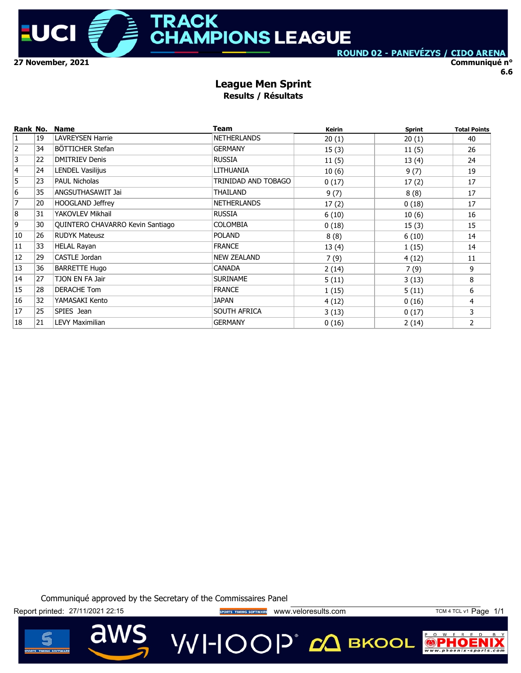

**Communiqué n° 6.6**

#### **League Men Sprint Results / Résultats**

| Rank No.       |    | <b>Name</b>                      | Team                | <b>Keirin</b> | <b>Sprint</b> | <b>Total Points</b> |
|----------------|----|----------------------------------|---------------------|---------------|---------------|---------------------|
| $\vert$ 1      | 19 | <b>LAVREYSEN Harrie</b>          | <b>NETHERLANDS</b>  | 20(1)         | 20(1)         | 40                  |
| 2              | 34 | BÖTTICHER Stefan                 | <b>GERMANY</b>      | 15(3)         | 11(5)         | 26                  |
| $\overline{3}$ | 22 | <b>DMITRIEV Denis</b>            | <b>RUSSIA</b>       | 11(5)         | 13(4)         | 24                  |
| 4              | 24 | <b>LENDEL Vasilijus</b>          | LITHUANIA           | 10(6)         | 9(7)          | 19                  |
| $\overline{5}$ | 23 | PAUL Nicholas                    | TRINIDAD AND TOBAGO | 0(17)         | 17(2)         | 17                  |
| $\overline{6}$ | 35 | ANGSUTHASAWIT Jai                | THAILAND            | 9(7)          | 8(8)          | 17                  |
| 7              | 20 | <b>HOOGLAND Jeffrey</b>          | <b>NETHERLANDS</b>  | 17(2)         | 0(18)         | 17                  |
| 8              | 31 | YAKOVLEV Mikhail                 | <b>RUSSIA</b>       | 6(10)         | 10(6)         | 16                  |
| 9              | 30 | QUINTERO CHAVARRO Kevin Santiago | <b>COLOMBIA</b>     | 0(18)         | 15(3)         | 15                  |
| 10             | 26 | <b>RUDYK Mateusz</b>             | <b>POLAND</b>       | 8(8)          | 6(10)         | 14                  |
| 11             | 33 | <b>HELAL Rayan</b>               | <b>FRANCE</b>       | 13(4)         | 1(15)         | 14                  |
| 12             | 29 | CASTLE Jordan                    | <b>NEW ZEALAND</b>  | 7(9)          | 4(12)         | 11                  |
| 13             | 36 | <b>BARRETTE Hugo</b>             | CANADA              | 2(14)         | 7(9)          | 9                   |
| 14             | 27 | TJON EN FA Jair                  | <b>SURINAME</b>     | 5(11)         | 3(13)         | 8                   |
| 15             | 28 | DERACHE Tom                      | <b>FRANCE</b>       | 1(15)         | 5(11)         | 6                   |
| 16             | 32 | YAMASAKI Kento                   | JAPAN               | 4(12)         | 0(16)         | 4                   |
| 17             | 25 | SPIES Jean                       | SOUTH AFRICA        | 3(13)         | 0(17)         | 3                   |
| 18             | 21 | <b>LEVY Maximilian</b>           | <b>GERMANY</b>      | 0(16)         | 2(14)         | $\overline{2}$      |

Communiqué approved by the Secretary of the Commissaires Panel

Report printed: 27/11/2021 22:15 <br>
Report printed: 27/11/2021 22:15 <br>
Www.veloresults.com TCM 4 TCL v1 Page 1/1



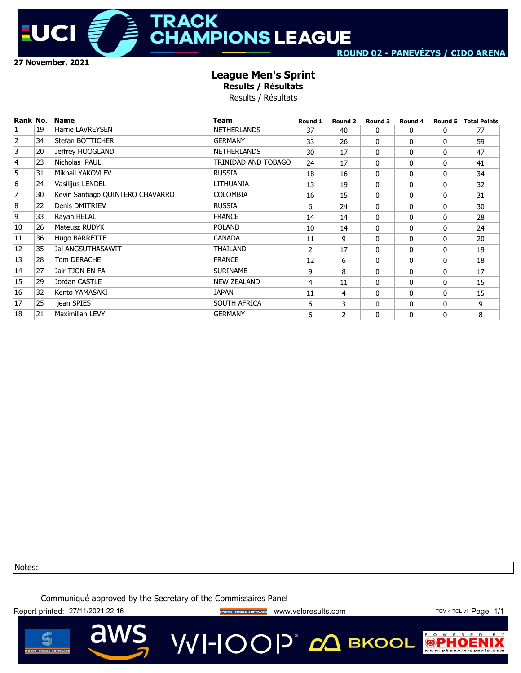

## **TRACK HAMPIONS LEAGUE**

### **League Men's Sprint**

**Results / Résultats**

Results / Résultats

| Rank No.       |    | <b>Name</b>                      | <b>Team</b>         | Round 1        | Round 2 | Round 3  | Round 4 | Round 5  | <b>Total Points</b> |
|----------------|----|----------------------------------|---------------------|----------------|---------|----------|---------|----------|---------------------|
| $\mathbf{1}$   | 19 | <b>Harrie LAVREYSEN</b>          | <b>NETHERLANDS</b>  | 37             | 40      | $\Omega$ | 0       | 0        | 77                  |
| $\overline{2}$ | 34 | Stefan BÖTTICHER                 | <b>GERMANY</b>      | 33             | 26      | $\Omega$ | 0       | $\Omega$ | 59                  |
| 3              | 20 | Jeffrey HOOGLAND                 | <b>NETHERLANDS</b>  | 30             | 17      | $\Omega$ | 0       | 0        | 47                  |
| 14             | 23 | Nicholas PAUL                    | TRINIDAD AND TOBAGO | 24             | 17      | $\Omega$ | 0       | 0        | 41                  |
| 5              | 31 | Mikhail YAKOVLEV                 | <b>RUSSIA</b>       | 18             | 16      | $\Omega$ | 0       | 0        | 34                  |
| 6              | 24 | Vasilijus LENDEL                 | LITHUANIA           | 13             | 19      | $\Omega$ | 0       | $\Omega$ | 32                  |
| $\overline{7}$ | 30 | Kevin Santiago QUINTERO CHAVARRO | <b>COLOMBIA</b>     | 16             | 15      | $\Omega$ | 0       | $\Omega$ | 31                  |
| 8              | 22 | Denis DMITRIEV                   | <b>RUSSIA</b>       | 6              | 24      | $\Omega$ | 0       | $\Omega$ | 30                  |
| 9              | 33 | Rayan HELAL                      | <b>FRANCE</b>       | 14             | 14      | $\Omega$ | 0       | $\Omega$ | 28                  |
| 10             | 26 | Mateusz RUDYK                    | <b>POLAND</b>       | 10             | 14      | $\Omega$ | 0       | $\Omega$ | 24                  |
| 11             | 36 | Hugo BARRETTE                    | <b>CANADA</b>       | 11             | 9       | $\Omega$ | 0       | 0        | 20                  |
| 12             | 35 | Jai ANGSUTHASAWIT                | THAILAND            | $\overline{2}$ | 17      | $\Omega$ | 0       | 0        | 19                  |
| 13             | 28 | Tom DERACHE                      | <b>FRANCE</b>       | 12             | 6       | $\Omega$ | 0       | $\Omega$ | 18                  |
| 14             | 27 | Jair TJON EN FA                  | <b>SURINAME</b>     | 9              | 8       | $\Omega$ | 0       | $\Omega$ | 17                  |
| 15             | 29 | Jordan CASTLE                    | <b>NEW ZEALAND</b>  | 4              | 11      | $\Omega$ | 0       | $\Omega$ | 15                  |
| 16             | 32 | Kento YAMASAKI                   | JAPAN               | 11             | 4       | $\Omega$ | 0       | $\Omega$ | 15                  |
| 17             | 25 | jean SPIES                       | SOUTH AFRICA        | 6              | 3       | $\Omega$ | 0       | 0        | 9                   |
| 18             | 21 | <b>Maximilian LEVY</b>           | <b>GERMANY</b>      | 6              | 2       | $\Omega$ | 0       | 0        | 8                   |

Notes:

Communiqué approved by the Secretary of the Commissaires Panel

Report printed: 27/11/2021 22:16 **Wave String of TIMING SOFTWARE** WWW.Veloresults.com TCM 4 TCL v1 Page 1/1

a



VVI-IOOP® сД вкооц

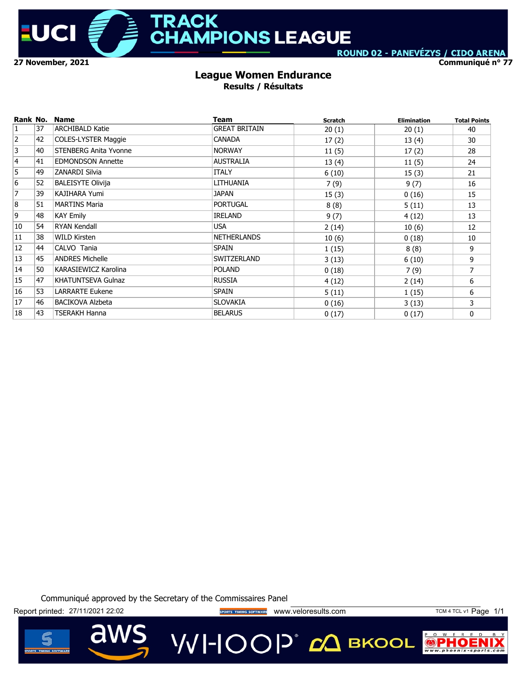

**Communiqué n° 77**

#### **League Women Endurance Results / Résultats**

| Rank No.       |    | <b>Name</b>                  | Team                 | <b>Scratch</b> | <b>Elimination</b> | <b>Total Points</b> |
|----------------|----|------------------------------|----------------------|----------------|--------------------|---------------------|
| 1              | 37 | <b>ARCHIBALD Katie</b>       | <b>GREAT BRITAIN</b> | 20(1)          | 20(1)              | 40                  |
| $\overline{2}$ | 42 | <b>COLES-LYSTER Maggie</b>   | <b>CANADA</b>        | 17(2)          | 13(4)              | 30                  |
| 3              | 40 | <b>STENBERG Anita Yvonne</b> | <b>NORWAY</b>        | 11(5)          | 17(2)              | 28                  |
| $\overline{4}$ | 41 | <b>EDMONDSON Annette</b>     | <b>AUSTRALIA</b>     | 13(4)          | 11(5)              | 24                  |
| 5              | 49 | <b>ZANARDI Silvia</b>        | <b>ITALY</b>         | 6(10)          | 15(3)              | 21                  |
| 6              | 52 | <b>BALEISYTE Olivija</b>     | LITHUANIA            | 7(9)           | 9(7)               | 16                  |
| $\overline{7}$ | 39 | KAJIHARA Yumi                | <b>JAPAN</b>         | 15(3)          | 0(16)              | 15                  |
| 8              | 51 | <b>MARTINS Maria</b>         | <b>PORTUGAL</b>      | 8(8)           | 5(11)              | 13                  |
| 9              | 48 | <b>KAY Emily</b>             | <b>IRELAND</b>       | 9(7)           | 4(12)              | 13                  |
| 10             | 54 | <b>RYAN Kendall</b>          | <b>USA</b>           | 2(14)          | 10(6)              | 12                  |
| 11             | 38 | <b>WILD Kirsten</b>          | <b>NETHERLANDS</b>   | 10(6)          | 0(18)              | 10                  |
| 12             | 44 | CALVO Tania                  | <b>SPAIN</b>         | 1(15)          | 8(8)               | 9                   |
| 13             | 45 | <b>ANDRES Michelle</b>       | SWITZERLAND          | 3(13)          | 6(10)              | 9                   |
| 14             | 50 | KARASIEWICZ Karolina         | <b>POLAND</b>        | 0(18)          | 7(9)               | 7                   |
| 15             | 47 | <b>KHATUNTSEVA Gulnaz</b>    | <b>RUSSIA</b>        | 4(12)          | 2(14)              | 6                   |
| 16             | 53 | <b>LARRARTE Eukene</b>       | <b>SPAIN</b>         | 5(11)          | 1(15)              | 6                   |
| 17             | 46 | <b>BACIKOVA Alzbeta</b>      | <b>SLOVAKIA</b>      | 0(16)          | 3(13)              | 3                   |
| 18             | 43 | <b>TSERAKH Hanna</b>         | <b>BELARUS</b>       | 0(17)          | 0(17)              | 0                   |

Communiqué approved by the Secretary of the Commissaires Panel

Report printed: 27/11/2021 22:02 **www.printed: 27/11/2021 22:02** www.veloresults.com TCM 4 TCL v1 Page 1/1



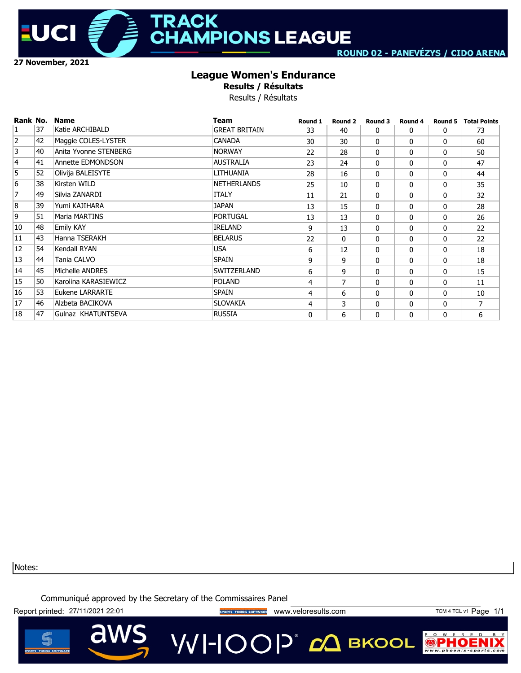

### **League Women's Endurance**

**Results / Résultats**

Results / Résultats

| Rank No.       |    | <b>Name</b>           | <b>Team</b>          | Round 1      | Round 2        | Round 3  | Round 4 | Round 5      | <b>Total Points</b> |
|----------------|----|-----------------------|----------------------|--------------|----------------|----------|---------|--------------|---------------------|
| 1              | 37 | Katie ARCHIBALD       | <b>GREAT BRITAIN</b> | 33           | 40             | 0        | 0       | 0            | 73                  |
| 2              | 42 | Maggie COLES-LYSTER   | <b>CANADA</b>        | 30           | 30             | 0        | 0       | $\mathbf{0}$ | 60                  |
| 3              | 40 | Anita Yvonne STENBERG | <b>NORWAY</b>        | 22           | 28             | 0        | 0       | 0            | 50                  |
| 4              | 41 | Annette EDMONDSON     | <b>AUSTRALIA</b>     | 23           | 24             | $\Omega$ | 0       | $\mathbf{0}$ | 47                  |
| $\overline{5}$ | 52 | Olivija BALEISYTE     | LITHUANIA            | 28           | 16             | 0        | 0       | 0            | 44                  |
| $\overline{6}$ | 38 | Kirsten WILD          | <b>NETHERLANDS</b>   | 25           | 10             | 0        | 0       | $\mathbf{0}$ | 35                  |
| $\overline{7}$ | 49 | Silvia ZANARDI        | <b>ITALY</b>         | 11           | 21             | 0        | 0       | 0            | 32                  |
| 8              | 39 | Yumi KAJIHARA         | <b>JAPAN</b>         | 13           | 15             | 0        | 0       | 0            | 28                  |
| 9              | 51 | Maria MARTINS         | <b>PORTUGAL</b>      | 13           | 13             | 0        | 0       | 0            | 26                  |
| 10             | 48 | <b>Emily KAY</b>      | <b>IRELAND</b>       | 9            | 13             | 0        | 0       | $\mathbf{0}$ | 22                  |
| 11             | 43 | Hanna TSERAKH         | <b>BELARUS</b>       | 22           | 0              | 0        | 0       | 0            | 22                  |
| 12             | 54 | Kendall RYAN          | <b>USA</b>           | 6            | 12             | 0        | 0       | $\mathbf{0}$ | 18                  |
| 13             | 44 | Tania CALVO           | <b>SPAIN</b>         | 9            | 9              | 0        | 0       | $\mathbf{0}$ | 18                  |
| 14             | 45 | Michelle ANDRES       | SWITZERLAND          | 6            | 9              | 0        | 0       | 0            | 15                  |
| 15             | 50 | Karolina KARASIEWICZ  | <b>POLAND</b>        | 4            | $\overline{7}$ | $\Omega$ | 0       | 0            | 11                  |
| 16             | 53 | Eukene LARRARTE       | <b>SPAIN</b>         | 4            | 6              | $\Omega$ | 0       | $\mathbf{0}$ | 10                  |
| 17             | 46 | Alzbeta BACIKOVA      | <b>SLOVAKIA</b>      | 4            | 3              | $\Omega$ | 0       | 0            | 7                   |
| 18             | 47 | Gulnaz KHATUNTSEVA    | <b>RUSSIA</b>        | $\mathbf{0}$ | 6              | $\Omega$ | 0       | $\mathbf{0}$ | 6                   |

Notes:

Communiqué approved by the Secretary of the Commissaires Panel

Report printed: 27/11/2021 22:01 **Wave String of TIMING SOFTWARE** WWW.Veloresults.com TCM 4 TCL v1 Page 1/1

a

VVI-IOOP<sup>\*</sup> сД вкооц



 $P$  0 W  $\mathbb{R}$ 

 $\odot$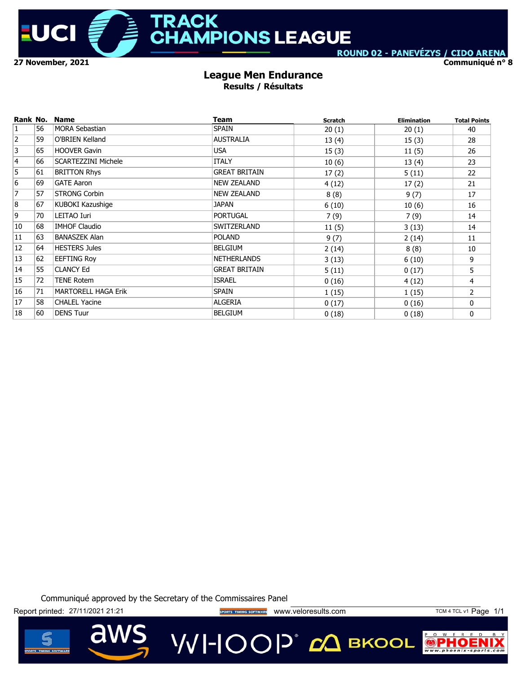

**Communiqué n° 8**

#### **League Men Endurance Results / Résultats**

| Rank No.       |    | <b>Name</b>                | Team                 | <b>Scratch</b> | <b>Elimination</b> | <b>Total Points</b> |
|----------------|----|----------------------------|----------------------|----------------|--------------------|---------------------|
| $\mathbf{1}$   | 56 | <b>MORA Sebastian</b>      | <b>SPAIN</b>         | 20(1)          | 20(1)              | 40                  |
| $\overline{2}$ | 59 | O'BRIEN Kelland            | <b>AUSTRALIA</b>     | 13(4)          | 15(3)              | 28                  |
| 3              | 65 | <b>HOOVER Gavin</b>        | <b>USA</b>           | 15(3)          | 11(5)              | 26                  |
| $\overline{4}$ | 66 | <b>SCARTEZZINI Michele</b> | <b>ITALY</b>         | 10(6)          | 13(4)              | 23                  |
| 5              | 61 | <b>BRITTON Rhys</b>        | <b>GREAT BRITAIN</b> | 17(2)          | 5(11)              | 22                  |
| 6              | 69 | <b>GATE Aaron</b>          | NEW ZEALAND          | 4(12)          | 17(2)              | 21                  |
| $\overline{7}$ | 57 | <b>STRONG Corbin</b>       | NEW ZEALAND          | 8(8)           | 9(7)               | 17                  |
| $\bf{8}$       | 67 | KUBOKI Kazushige           | JAPAN                | 6(10)          | 10(6)              | 16                  |
| 9              | 70 | LEITAO Iuri                | <b>PORTUGAL</b>      | 7(9)           | 7(9)               | 14                  |
| 10             | 68 | <b>IMHOF Claudio</b>       | SWITZERLAND          | 11(5)          | 3(13)              | 14                  |
| 11             | 63 | <b>BANASZEK Alan</b>       | <b>POLAND</b>        | 9(7)           | 2(14)              | 11                  |
| 12             | 64 | <b>HESTERS Jules</b>       | <b>BELGIUM</b>       | 2(14)          | 8(8)               | 10                  |
| 13             | 62 | <b>EEFTING Roy</b>         | <b>NETHERLANDS</b>   | 3(13)          | 6(10)              | 9                   |
| 14             | 55 | <b>CLANCY Ed</b>           | <b>GREAT BRITAIN</b> | 5(11)          | 0(17)              | 5                   |
| 15             | 72 | <b>TENE Rotem</b>          | <b>ISRAEL</b>        | 0(16)          | 4(12)              | 4                   |
| 16             | 71 | <b>MARTORELL HAGA Erik</b> | <b>SPAIN</b>         | 1(15)          | 1(15)              | $\overline{2}$      |
| 17             | 58 | <b>CHALEL Yacine</b>       | <b>ALGERIA</b>       | 0(17)          | 0(16)              | 0                   |
| 18             | 60 | <b>DENS Tuur</b>           | <b>BELGIUM</b>       | 0(18)          | 0(18)              | 0                   |

Communiqué approved by the Secretary of the Commissaires Panel

Report printed: 27/11/2021 21:21 **Wave String of TIMING SOTTWARE** WWW.Veloresults.com TCM 4 TCL v1 Page 1/1

aw

VVI-IOOP® сД вкооц



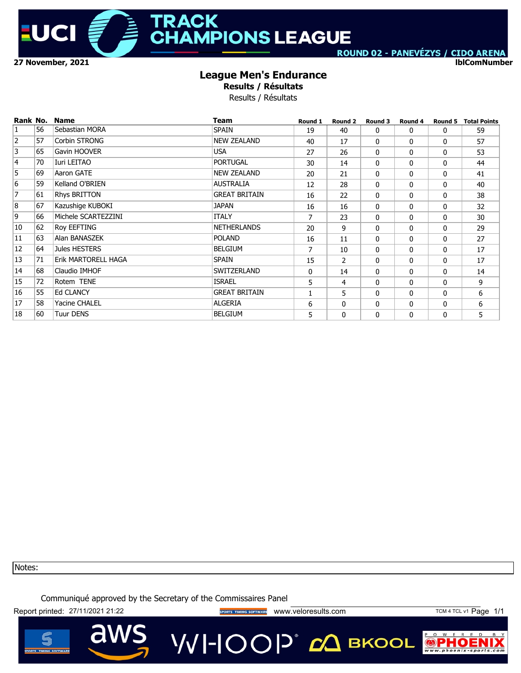

**lblComNumber**

### **League Men's Endurance**

**Results / Résultats**

Results / Résultats

| Rank No.       |    | <b>Name</b>         | <b>Team</b>          | Round 1 | Round 2        | Round 3      | Round 4  | Round 5      | <b>Total Points</b> |
|----------------|----|---------------------|----------------------|---------|----------------|--------------|----------|--------------|---------------------|
| $\overline{1}$ | 56 | Sebastian MORA      | <b>SPAIN</b>         | 19      | 40             | 0            | 0        | $\mathbf{0}$ | 59                  |
| $\overline{2}$ | 57 | Corbin STRONG       | <b>NEW ZEALAND</b>   | 40      | 17             | 0            | $\Omega$ | $\mathbf{0}$ | 57                  |
| 3              | 65 | Gavin HOOVER        | <b>USA</b>           | 27      | 26             | 0            | 0        | 0            | 53                  |
| 4              | 70 | Iuri LEITAO         | <b>PORTUGAL</b>      | 30      | 14             | 0            | $\Omega$ | $\mathbf{0}$ | 44                  |
| $\overline{5}$ | 69 | Aaron GATE          | <b>NEW ZEALAND</b>   | 20      | 21             | 0            | 0        | 0            | 41                  |
| $\overline{6}$ | 59 | Kelland O'BRIEN     | <b>AUSTRALIA</b>     | 12      | 28             | 0            | $\Omega$ | $\mathbf{0}$ | 40                  |
| 7              | 61 | Rhys BRITTON        | <b>GREAT BRITAIN</b> | 16      | 22             | 0            | 0        | 0            | 38                  |
| 8              | 67 | Kazushige KUBOKI    | <b>JAPAN</b>         | 16      | 16             | 0            | 0        | 0            | 32                  |
| 9              | 66 | Michele SCARTEZZINI | <b>ITALY</b>         | 7       | 23             | 0            | $\Omega$ | 0            | 30                  |
| 10             | 62 | Roy EEFTING         | <b>NETHERLANDS</b>   | 20      | 9              | 0            | 0        | 0            | 29                  |
| 11             | 63 | Alan BANASZEK       | <b>POLAND</b>        | 16      | 11             | 0            | $\Omega$ | 0            | 27                  |
| 12             | 64 | Jules HESTERS       | <b>BELGIUM</b>       | 7       | 10             | 0            | 0        | 0            | 17                  |
| 13             | 71 | Erik MARTORELL HAGA | <b>SPAIN</b>         | 15      | $\overline{2}$ | 0            | 0        | 0            | 17                  |
| 14             | 68 | Claudio IMHOF       | SWITZERLAND          | 0       | 14             | 0            | 0        | 0            | 14                  |
| 15             | 72 | Rotem TENE          | <b>ISRAEL</b>        | 5       | 4              | $\Omega$     | 0        | $\mathbf{0}$ | 9                   |
| 16             | 55 | <b>Ed CLANCY</b>    | <b>GREAT BRITAIN</b> | 1       | 5              | $\Omega$     | 0        | 0            | 6                   |
| 17             | 58 | Yacine CHALEL       | <b>ALGERIA</b>       | 6       | 0              | $\Omega$     | 0        | 0            | 6                   |
| 18             | 60 | Tuur DENS           | <b>BELGIUM</b>       | 5       | $\mathbf{0}$   | $\mathbf{0}$ | 0        | 0            | 5                   |

Notes:

Communiqué approved by the Secretary of the Commissaires Panel

Report printed: 27/11/2021 21:22 **Wave September 2018 WWW.**veloresults.com TCM 4 TCL v1 Page 1/1



VVI-IOOP® сД вкооц

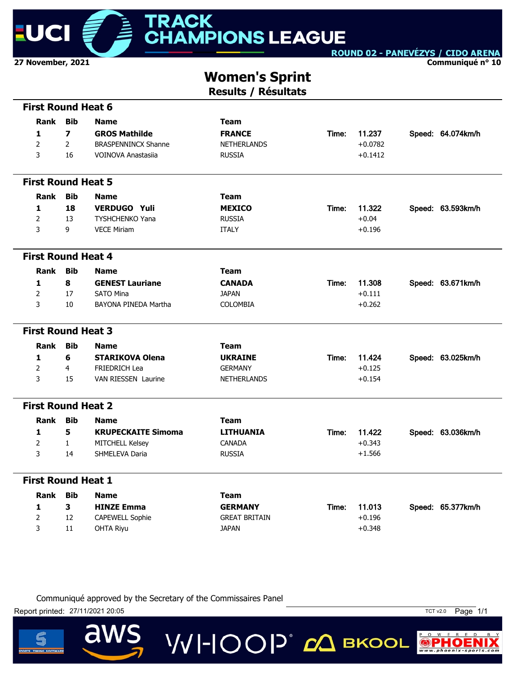

**Communiqué n° 10**

# **Women's Sprint**

**Results / Résultats**

| <b>First Round Heat 6</b> |                         |                            |                      |       |           |                   |
|---------------------------|-------------------------|----------------------------|----------------------|-------|-----------|-------------------|
| Rank                      | <b>Bib</b>              | <b>Name</b>                | <b>Team</b>          |       |           |                   |
| 1                         | $\overline{\mathbf{z}}$ | <b>GROS Mathilde</b>       | <b>FRANCE</b>        | Time: | 11.237    | Speed: 64.074km/h |
| $\overline{2}$            | $\overline{2}$          | <b>BRASPENNINCX Shanne</b> | <b>NETHERLANDS</b>   |       | $+0.0782$ |                   |
| 3                         | 16                      | VOINOVA Anastasija         | <b>RUSSIA</b>        |       | $+0.1412$ |                   |
|                           |                         |                            |                      |       |           |                   |
| <b>First Round Heat 5</b> |                         |                            |                      |       |           |                   |
| <b>Rank</b>               | <b>Bib</b>              | <b>Name</b>                | <b>Team</b>          |       |           |                   |
| 1                         | 18                      | <b>VERDUGO Yuli</b>        | <b>MEXICO</b>        | Time: | 11.322    | Speed: 63.593km/h |
| $\overline{2}$            | 13                      | <b>TYSHCHENKO Yana</b>     | <b>RUSSIA</b>        |       | $+0.04$   |                   |
| 3                         | 9                       | <b>VECE Miriam</b>         | <b>ITALY</b>         |       | $+0.196$  |                   |
|                           |                         |                            |                      |       |           |                   |
| <b>First Round Heat 4</b> |                         |                            |                      |       |           |                   |
| Rank                      | <b>Bib</b>              | <b>Name</b>                | <b>Team</b>          |       |           |                   |
| 1                         | 8                       | <b>GENEST Lauriane</b>     | <b>CANADA</b>        | Time: | 11.308    | Speed: 63.671km/h |
| $\overline{2}$            | 17                      | <b>SATO Mina</b>           | <b>JAPAN</b>         |       | $+0.111$  |                   |
| 3                         | 10                      | BAYONA PINEDA Martha       | <b>COLOMBIA</b>      |       | $+0.262$  |                   |
| <b>First Round Heat 3</b> |                         |                            |                      |       |           |                   |
|                           |                         |                            |                      |       |           |                   |
| Rank                      | <b>Bib</b>              | <b>Name</b>                | <b>Team</b>          |       |           |                   |
| $\mathbf{1}$              | 6                       | <b>STARIKOVA Olena</b>     | <b>UKRAINE</b>       | Time: | 11.424    | Speed: 63.025km/h |
| $\overline{2}$            | $\overline{4}$          | <b>FRIEDRICH Lea</b>       | <b>GERMANY</b>       |       | $+0.125$  |                   |
| 3                         | 15                      | <b>VAN RIESSEN Laurine</b> | <b>NETHERLANDS</b>   |       | $+0.154$  |                   |
| <b>First Round Heat 2</b> |                         |                            |                      |       |           |                   |
| Rank                      | <b>Bib</b>              | <b>Name</b>                | <b>Team</b>          |       |           |                   |
| 1                         | 5                       | <b>KRUPECKAITE Simoma</b>  | <b>LITHUANIA</b>     | Time: | 11.422    | Speed: 63.036km/h |
| $\overline{2}$            | $\mathbf{1}$            | MITCHELL Kelsey            | <b>CANADA</b>        |       | $+0.343$  |                   |
| 3                         | 14                      | SHMELEVA Daria             | <b>RUSSIA</b>        |       | $+1.566$  |                   |
|                           |                         |                            |                      |       |           |                   |
| <b>First Round Heat 1</b> |                         |                            |                      |       |           |                   |
| <b>Rank</b>               | <b>Bib</b>              | <b>Name</b>                | <b>Team</b>          |       |           |                   |
| 1                         | 3                       | <b>HINZE Emma</b>          | <b>GERMANY</b>       | Time: | 11.013    | Speed: 65.377km/h |
| $\overline{2}$            | 12                      | CAPEWELL Sophie            | <b>GREAT BRITAIN</b> |       | $+0.196$  |                   |
| 3                         | 11                      | <b>OHTA Riyu</b>           | <b>JAPAN</b>         |       | $+0.348$  |                   |

**VVI-IOOP** CA BKOOL

Communiqué approved by the Secretary of the Commissaires Panel

Report printed: 27/11/2021 20:05 TCT v2.0 Page 1/1

a



 $P$  O W E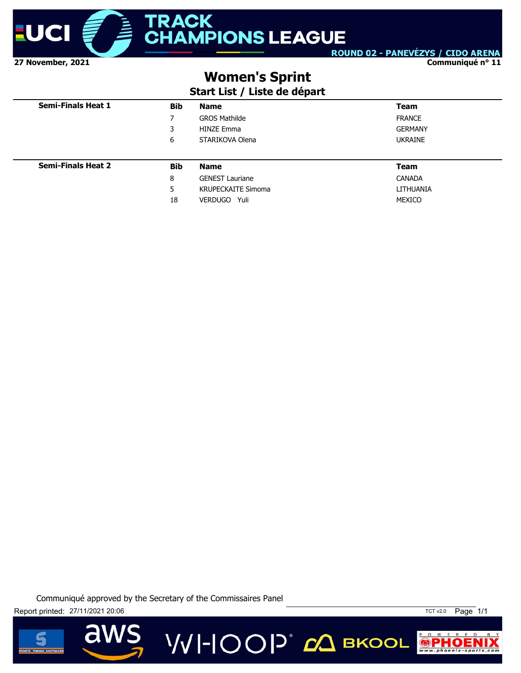

**Communiqué n° 11**

## **Women's Sprint**

### **Start List / Liste de départ**

| <b>Semi-Finals Heat 1</b> | <b>Bib</b> | <b>Name</b>               | <b>Team</b>    |
|---------------------------|------------|---------------------------|----------------|
|                           | 7          | <b>GROS Mathilde</b>      | <b>FRANCE</b>  |
|                           | 3          | <b>HINZE Emma</b>         | <b>GERMANY</b> |
|                           | 6          | STARIKOVA Olena           | <b>UKRAINE</b> |
|                           |            |                           |                |
| <b>Semi-Finals Heat 2</b> | <b>Bib</b> | <b>Name</b>               | <b>Team</b>    |
|                           | 8          | <b>GENEST Lauriane</b>    | <b>CANADA</b>  |
|                           | 5          | <b>KRUPECKAITE Simoma</b> | LITHUANIA      |
|                           | 18         | VERDUGO Yuli              | MEXICO         |





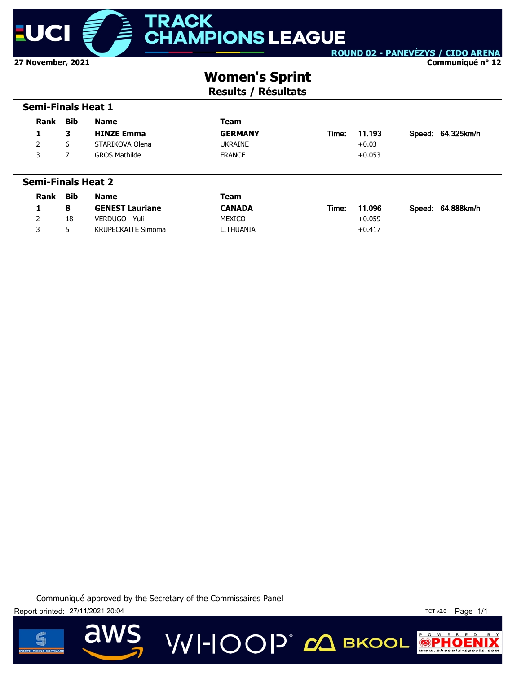

 **Semi-Finals Heat 1**

ROUND 02 - PANEVÉZYS / CIDO ARENA

**Communiqué n° 12**

# **Women's Sprint**

**Results / Résultats**

| Rank                      | <b>Bib</b> | <b>Name</b>            | <b>Team</b>    |       |          |                   |
|---------------------------|------------|------------------------|----------------|-------|----------|-------------------|
| 1                         | 3          | <b>HINZE Emma</b>      | <b>GERMANY</b> | Time: | 11.193   | Speed: 64.325km/h |
| 2                         | 6          | STARIKOVA Olena        | <b>UKRAINE</b> |       | $+0.03$  |                   |
| 3                         | 7          | <b>GROS Mathilde</b>   | <b>FRANCE</b>  |       | $+0.053$ |                   |
|                           |            |                        |                |       |          |                   |
|                           |            |                        |                |       |          |                   |
| <b>Semi-Finals Heat 2</b> |            |                        |                |       |          |                   |
| Rank                      | <b>Bib</b> | <b>Name</b>            | <b>Team</b>    |       |          |                   |
| 1                         | 8          | <b>GENEST Lauriane</b> | <b>CANADA</b>  | Time: | 11.096   | Speed: 64.888km/h |
| 2                         | 18         | VERDUGO<br>Yuli        | <b>MEXICO</b>  |       | $+0.059$ |                   |





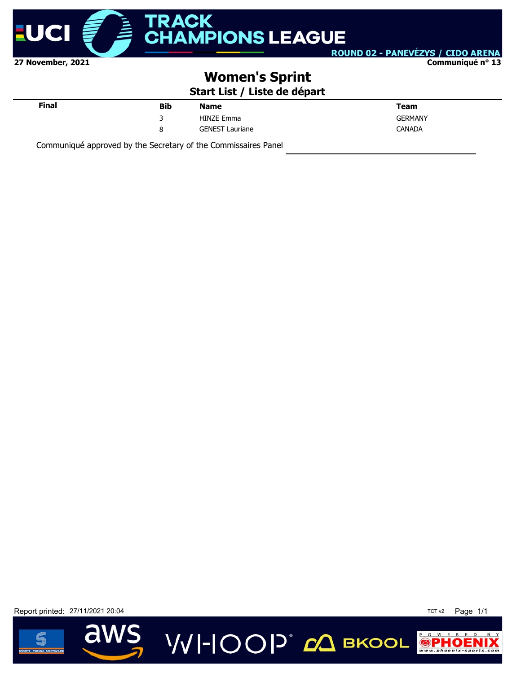

**Communiqué n° 13**

## **Women's Sprint**

**Start List / Liste de départ**

VVI-IOOP<sup>®</sup> с вкооц

| <b>Final</b> | <b>Bib</b> | <b>Name</b>            | Team           |
|--------------|------------|------------------------|----------------|
|              | ₹          | <b>HINZE Emma</b>      | <b>GERMANY</b> |
|              | 8          | <b>GENEST Lauriane</b> | <b>CANADA</b>  |
|              |            |                        |                |

Communiqué approved by the Secretary of the Commissaires Panel

Report printed: 27/11/2021 20:04 TCT v2 Page 1/1



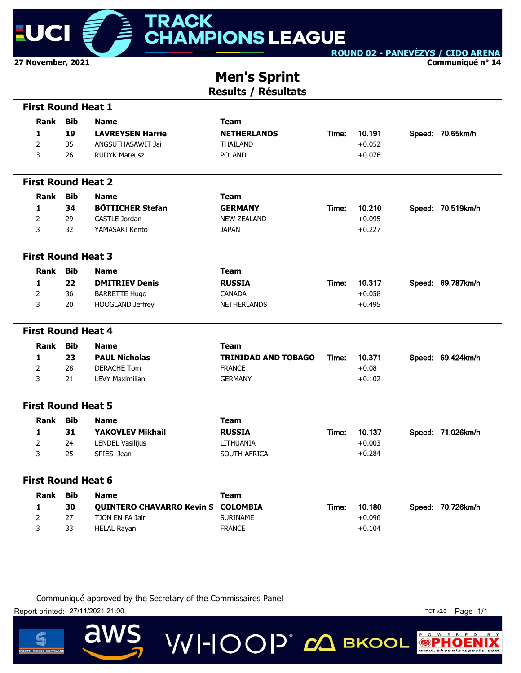

**Communiqué n° 14**

### **Men's Sprint Results / Résultats**

| <b>First Round Heat 1</b> |             |            |                                    |                            |       |          |                   |
|---------------------------|-------------|------------|------------------------------------|----------------------------|-------|----------|-------------------|
|                           | <b>Rank</b> | <b>Bib</b> | <b>Name</b>                        | <b>Team</b>                |       |          |                   |
| 1                         |             | 19         | <b>LAVREYSEN Harrie</b>            | <b>NETHERLANDS</b>         | Time: | 10.191   | Speed: 70.65km/h  |
| $\overline{2}$            |             | 35         | ANGSUTHASAWIT Jai                  | THAILAND                   |       | $+0.052$ |                   |
| 3                         |             | 26         | <b>RUDYK Mateusz</b>               | <b>POLAND</b>              |       | $+0.076$ |                   |
| <b>First Round Heat 2</b> |             |            |                                    |                            |       |          |                   |
|                           | Rank        | <b>Bib</b> | <b>Name</b>                        | <b>Team</b>                |       |          |                   |
| $\mathbf{1}$              |             | 34         | <b>BÖTTICHER Stefan</b>            | <b>GERMANY</b>             | Time: | 10.210   | Speed: 70.519km/h |
| $\overline{2}$            |             | 29         | <b>CASTLE Jordan</b>               | <b>NEW ZEALAND</b>         |       | $+0.095$ |                   |
| 3                         |             | 32         | YAMASAKI Kento                     | <b>JAPAN</b>               |       | $+0.227$ |                   |
| <b>First Round Heat 3</b> |             |            |                                    |                            |       |          |                   |
|                           | Rank        | <b>Bib</b> | <b>Name</b>                        | <b>Team</b>                |       |          |                   |
| $\mathbf{1}$              |             | 22         | <b>DMITRIEV Denis</b>              | <b>RUSSIA</b>              | Time: | 10.317   | Speed: 69.787km/h |
| $\overline{2}$            |             | 36         | <b>BARRETTE Hugo</b>               | CANADA                     |       | $+0.058$ |                   |
| 3                         |             | 20         | HOOGLAND Jeffrey                   | <b>NETHERLANDS</b>         |       | $+0.495$ |                   |
| <b>First Round Heat 4</b> |             |            |                                    |                            |       |          |                   |
|                           | Rank        | <b>Bib</b> | <b>Name</b>                        | <b>Team</b>                |       |          |                   |
| 1                         |             | 23         | <b>PAUL Nicholas</b>               | <b>TRINIDAD AND TOBAGO</b> | Time: | 10.371   | Speed: 69.424km/h |
| 2                         |             | 28         | <b>DERACHE Tom</b>                 | <b>FRANCE</b>              |       | $+0.08$  |                   |
| 3                         |             | 21         | <b>LEVY Maximilian</b>             | <b>GERMANY</b>             |       | $+0.102$ |                   |
| <b>First Round Heat 5</b> |             |            |                                    |                            |       |          |                   |
|                           | Rank        | <b>Bib</b> | <b>Name</b>                        | <b>Team</b>                |       |          |                   |
| 1                         |             | 31         | <b>YAKOVLEV Mikhail</b>            | <b>RUSSIA</b>              | Time: | 10.137   | Speed: 71.026km/h |
| $\overline{2}$            |             | 24         | <b>LENDEL Vasilijus</b>            | LITHUANIA                  |       | $+0.003$ |                   |
| 3                         |             | 25         | SPIES Jean                         | SOUTH AFRICA               |       | $+0.284$ |                   |
| <b>First Round Heat 6</b> |             |            |                                    |                            |       |          |                   |
|                           | <b>Rank</b> | <b>Bib</b> | <b>Name</b>                        | <b>Team</b>                |       |          |                   |
| 1                         |             | 30         | QUINTERO CHAVARRO Kevin S COLOMBIA |                            | Time: | 10.180   | Speed: 70.726km/h |
| $\overline{2}$            |             | 27         | TJON EN FA Jair                    | <b>SURINAME</b>            |       | $+0.096$ |                   |
| 3                         |             | 33         | <b>HELAL Rayan</b>                 | <b>FRANCE</b>              |       | $+0.104$ |                   |

**VVI-IOOP** CA BKOOL

Communiqué approved by the Secretary of the Commissaires Panel

Report printed: 27/11/2021 21:00

 $\overline{\mathbf{d}}$ 



 $P$  O W E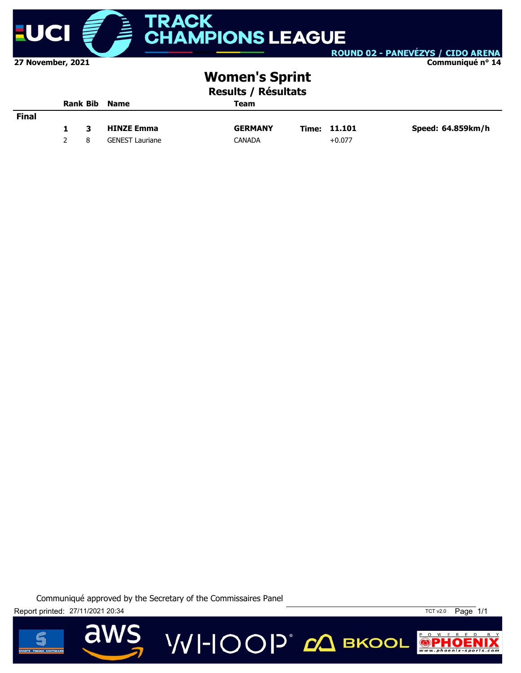

#### **Communiqué n° 14**

## **Women's Sprint**

### **Results / Résultats**

|              |    |    | <b>Rank Bib Name</b>   | Team           |              |                   |
|--------------|----|----|------------------------|----------------|--------------|-------------------|
| <b>Final</b> |    |    |                        |                |              |                   |
|              | 1. | -3 | <b>HINZE Emma</b>      | <b>GERMANY</b> | Time: 11.101 | Speed: 64.859km/h |
|              |    | 8  | <b>GENEST Lauriane</b> | CANADA         | $+0.077$     |                   |





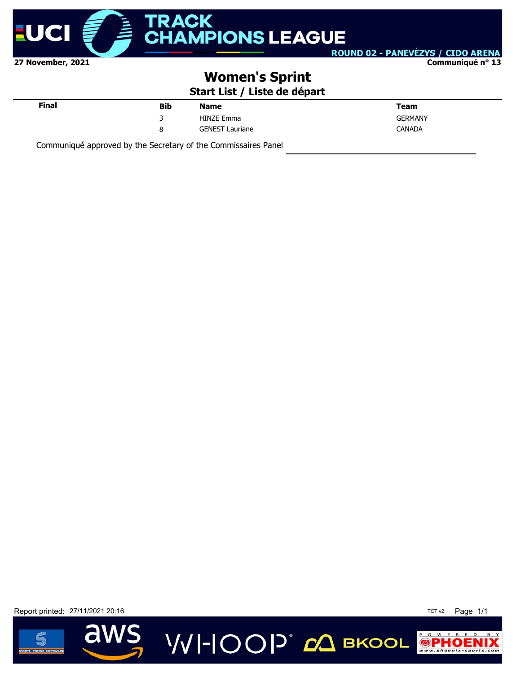

**Communiqué n° 13**

## **Women's Sprint**

**Start List / Liste de départ**

| <b>Final</b> | <b>Bib</b> | <b>Name</b>            | Team           |
|--------------|------------|------------------------|----------------|
|              | ₹          | <b>HINZE Emma</b>      | <b>GERMANY</b> |
|              | 8          | <b>GENEST Lauriane</b> | <b>CANADA</b>  |
|              |            |                        |                |

Communiqué approved by the Secretary of the Commissaires Panel

Report printed: 27/11/2021 20:16 **TCT v2** Page 1/1



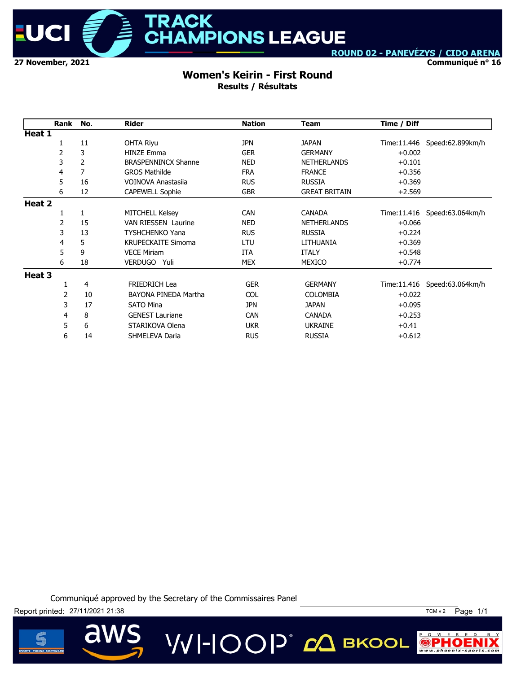

**Communiqué n° 16**

#### **Women's Keirin - First Round Results / Résultats**

|        | Rank | No.            | <b>Rider</b>               | <b>Nation</b> | <b>Team</b>          | Time / Diff  |                              |
|--------|------|----------------|----------------------------|---------------|----------------------|--------------|------------------------------|
| Heat 1 |      |                |                            |               |                      |              |                              |
|        | 1    | 11             | <b>OHTA Rivu</b>           | <b>JPN</b>    | <b>JAPAN</b>         | Time: 11.446 | Speed:62.899km/h             |
|        | 2    | 3              | <b>HINZE Emma</b>          | <b>GER</b>    | <b>GERMANY</b>       | $+0.002$     |                              |
|        | 3    | $\overline{2}$ | <b>BRASPENNINCX Shanne</b> | <b>NED</b>    | <b>NETHERLANDS</b>   | $+0.101$     |                              |
|        | 4    | $\overline{7}$ | <b>GROS Mathilde</b>       | <b>FRA</b>    | <b>FRANCE</b>        | $+0.356$     |                              |
|        | 5    | 16             | VOINOVA Anastasija         | <b>RUS</b>    | <b>RUSSIA</b>        | $+0.369$     |                              |
|        | 6    | 12             | <b>CAPEWELL Sophie</b>     | <b>GBR</b>    | <b>GREAT BRITAIN</b> | $+2.569$     |                              |
| Heat 2 |      |                |                            |               |                      |              |                              |
|        | 1    | 1              | <b>MITCHELL Kelsey</b>     | <b>CAN</b>    | <b>CANADA</b>        |              | Time:11.416 Speed:63.064km/h |
|        | 2    | 15             | <b>VAN RIESSEN Laurine</b> | <b>NED</b>    | <b>NETHERLANDS</b>   | $+0.066$     |                              |
|        | 3    | 13             | <b>TYSHCHENKO Yana</b>     | <b>RUS</b>    | <b>RUSSIA</b>        | $+0.224$     |                              |
|        | 4    | 5              | <b>KRUPECKAITE Simoma</b>  | LTU           | LITHUANIA            | $+0.369$     |                              |
|        | 5    | 9              | <b>VECE Miriam</b>         | <b>ITA</b>    | <b>ITALY</b>         | $+0.548$     |                              |
|        | 6    | 18             | VERDUGO Yuli               | <b>MEX</b>    | MEXICO               | $+0.774$     |                              |
| Heat 3 |      |                |                            |               |                      |              |                              |
|        |      | 4              | <b>FRIEDRICH Lea</b>       | <b>GER</b>    | <b>GERMANY</b>       |              | Time:11.416 Speed:63.064km/h |
|        | 2    | 10             | BAYONA PINEDA Martha       | <b>COL</b>    | <b>COLOMBIA</b>      | $+0.022$     |                              |
|        | 3    | 17             | <b>SATO Mina</b>           | <b>JPN</b>    | <b>JAPAN</b>         | $+0.095$     |                              |
|        | 4    | 8              | <b>GENEST Lauriane</b>     | <b>CAN</b>    | <b>CANADA</b>        | $+0.253$     |                              |
|        | 5    | 6              | STARIKOVA Olena            | <b>UKR</b>    | <b>UKRAINE</b>       | $+0.41$      |                              |
|        | 6    | 14             | SHMELEVA Daria             | <b>RUS</b>    | <b>RUSSIA</b>        | $+0.612$     |                              |

**VVI-IOOP** CA BKOOL

Communiqué approved by the Secretary of the Commissaires Panel



 $\overline{\mathbf{d}}$ 





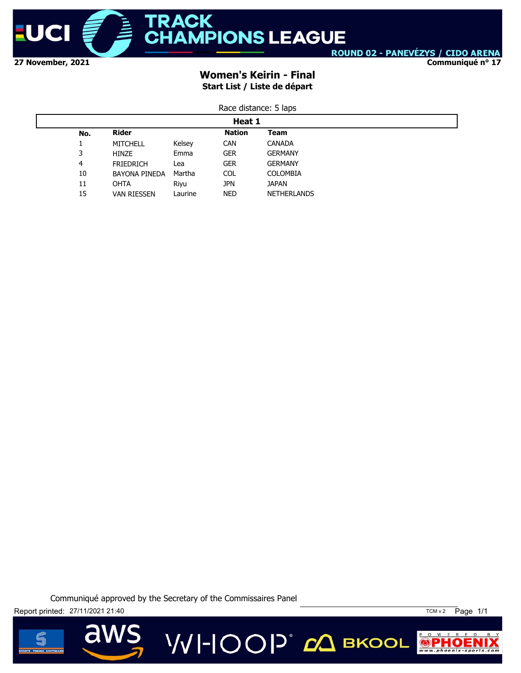

**Communiqué n° 17**

### **Women's Keirin - Final Start List / Liste de départ**

| Race distance: 5 laps |  |
|-----------------------|--|
|-----------------------|--|

|     | Heat 1               |         |               |                    |  |  |
|-----|----------------------|---------|---------------|--------------------|--|--|
| No. | <b>Rider</b>         |         | <b>Nation</b> | Team               |  |  |
|     | <b>MITCHELL</b>      | Kelsey  | <b>CAN</b>    | <b>CANADA</b>      |  |  |
| 3   | HINZE                | Emma    | <b>GER</b>    | <b>GERMANY</b>     |  |  |
| 4   | <b>FRIEDRICH</b>     | Lea     | <b>GER</b>    | <b>GERMANY</b>     |  |  |
| 10  | <b>BAYONA PINEDA</b> | Martha  | <b>COL</b>    | <b>COLOMBIA</b>    |  |  |
| 11  | <b>OHTA</b>          | Riyu    | jpn           | <b>JAPAN</b>       |  |  |
| 15  | <b>VAN RIESSEN</b>   | Laurine | <b>NED</b>    | <b>NETHERLANDS</b> |  |  |

Communiqué approved by the Secretary of the Commissaires Panel

**VVI-IOOP** CA BKOOL

Report printed: 27/11/2021 21:40



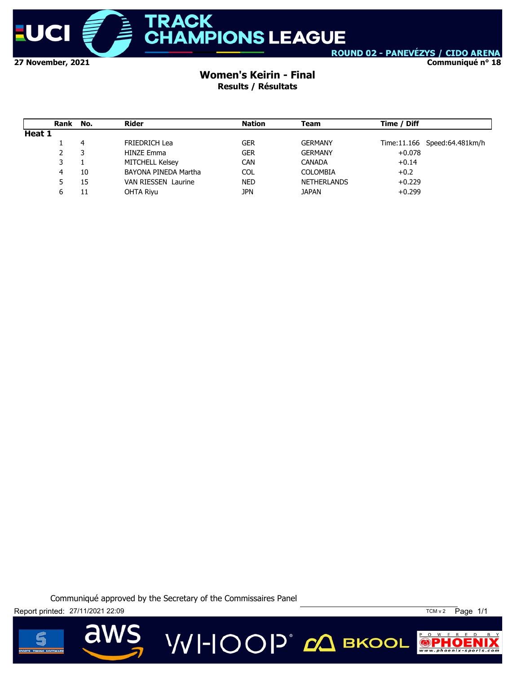

**Communiqué n° 18**

### **Women's Keirin - Final Results / Résultats**

|        | Rank No. |    | Rider                      | Nation     | Team               | Time / Diff |                              |
|--------|----------|----|----------------------------|------------|--------------------|-------------|------------------------------|
| Heat 1 |          |    |                            |            |                    |             |                              |
|        |          | 4  | <b>FRIEDRICH Lea</b>       | GER        | <b>GERMANY</b>     |             | Time:11.166 Speed:64.481km/h |
|        |          |    | <b>HINZE Emma</b>          | <b>GER</b> | <b>GERMANY</b>     | $+0.078$    |                              |
|        | 3        |    | MITCHELL Kelsey            | <b>CAN</b> | <b>CANADA</b>      | $+0.14$     |                              |
|        | 4        | 10 | BAYONA PINEDA Martha       | COL        | <b>COLOMBIA</b>    | $+0.2$      |                              |
|        | 5        | 15 | <b>VAN RIESSEN Laurine</b> | <b>NED</b> | <b>NETHERLANDS</b> | $+0.229$    |                              |
|        | ь        | 11 | OHTA Riyu                  | <b>JPN</b> | <b>JAPAN</b>       | $+0.299$    |                              |

Communiqué approved by the Secretary of the Commissaires Panel



**a** 



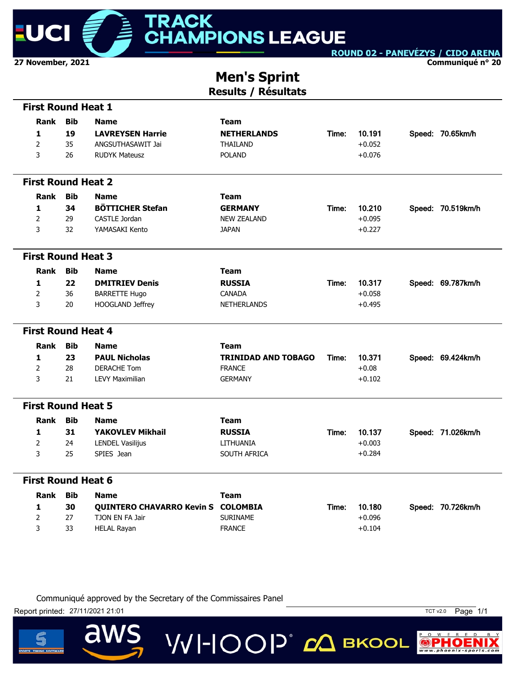

**Communiqué n° 20**

### **Men's Sprint Results / Résultats**

| <b>First Round Heat 1</b> |             |            |                                    |                            |       |          |                   |
|---------------------------|-------------|------------|------------------------------------|----------------------------|-------|----------|-------------------|
|                           | <b>Rank</b> | <b>Bib</b> | <b>Name</b>                        | <b>Team</b>                |       |          |                   |
| 1                         |             | 19         | <b>LAVREYSEN Harrie</b>            | <b>NETHERLANDS</b>         | Time: | 10.191   | Speed: 70.65km/h  |
| $\overline{2}$            |             | 35         | ANGSUTHASAWIT Jai                  | THAILAND                   |       | $+0.052$ |                   |
| 3                         |             | 26         | <b>RUDYK Mateusz</b>               | <b>POLAND</b>              |       | $+0.076$ |                   |
| <b>First Round Heat 2</b> |             |            |                                    |                            |       |          |                   |
|                           | Rank        | <b>Bib</b> | <b>Name</b>                        | <b>Team</b>                |       |          |                   |
| $\mathbf{1}$              |             | 34         | <b>BÖTTICHER Stefan</b>            | <b>GERMANY</b>             | Time: | 10.210   | Speed: 70.519km/h |
| $\overline{2}$            |             | 29         | <b>CASTLE Jordan</b>               | <b>NEW ZEALAND</b>         |       | $+0.095$ |                   |
| 3                         |             | 32         | YAMASAKI Kento                     | <b>JAPAN</b>               |       | $+0.227$ |                   |
| <b>First Round Heat 3</b> |             |            |                                    |                            |       |          |                   |
|                           | Rank        | <b>Bib</b> | <b>Name</b>                        | <b>Team</b>                |       |          |                   |
| $\mathbf{1}$              |             | 22         | <b>DMITRIEV Denis</b>              | <b>RUSSIA</b>              | Time: | 10.317   | Speed: 69.787km/h |
| $\overline{2}$            |             | 36         | <b>BARRETTE Hugo</b>               | CANADA                     |       | $+0.058$ |                   |
| 3                         |             | 20         | HOOGLAND Jeffrey                   | <b>NETHERLANDS</b>         |       | $+0.495$ |                   |
| <b>First Round Heat 4</b> |             |            |                                    |                            |       |          |                   |
|                           | Rank        | <b>Bib</b> | <b>Name</b>                        | <b>Team</b>                |       |          |                   |
| 1                         |             | 23         | <b>PAUL Nicholas</b>               | <b>TRINIDAD AND TOBAGO</b> | Time: | 10.371   | Speed: 69.424km/h |
| 2                         |             | 28         | <b>DERACHE Tom</b>                 | <b>FRANCE</b>              |       | $+0.08$  |                   |
| 3                         |             | 21         | <b>LEVY Maximilian</b>             | <b>GERMANY</b>             |       | $+0.102$ |                   |
| <b>First Round Heat 5</b> |             |            |                                    |                            |       |          |                   |
|                           | Rank        | <b>Bib</b> | <b>Name</b>                        | <b>Team</b>                |       |          |                   |
| 1                         |             | 31         | <b>YAKOVLEV Mikhail</b>            | <b>RUSSIA</b>              | Time: | 10.137   | Speed: 71.026km/h |
| $\overline{2}$            |             | 24         | <b>LENDEL Vasilijus</b>            | LITHUANIA                  |       | $+0.003$ |                   |
| 3                         |             | 25         | SPIES Jean                         | SOUTH AFRICA               |       | $+0.284$ |                   |
| <b>First Round Heat 6</b> |             |            |                                    |                            |       |          |                   |
|                           | <b>Rank</b> | <b>Bib</b> | <b>Name</b>                        | <b>Team</b>                |       |          |                   |
| 1                         |             | 30         | QUINTERO CHAVARRO Kevin S COLOMBIA |                            | Time: | 10.180   | Speed: 70.726km/h |
| $\overline{2}$            |             | 27         | TJON EN FA Jair                    | <b>SURINAME</b>            |       | $+0.096$ |                   |
| 3                         |             | 33         | <b>HELAL Rayan</b>                 | <b>FRANCE</b>              |       | $+0.104$ |                   |

**VVI-IOOP** ДВКООL

Communiqué approved by the Secretary of the Commissaires Panel

Report printed: 27/11/2021 21:01

 $\overline{\mathbf{d}}$ 



 $P$  O W E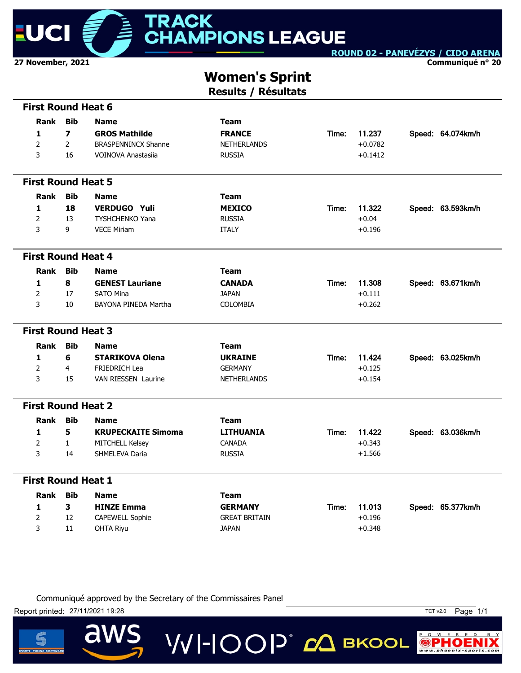

**Communiqué n° 20**

# **Women's Sprint**

**Results / Résultats**

|                | <b>First Round Heat 6</b> |                            |                      |       |           |                   |
|----------------|---------------------------|----------------------------|----------------------|-------|-----------|-------------------|
| Rank           | <b>Bib</b>                | <b>Name</b>                | <b>Team</b>          |       |           |                   |
| 1              | $\overline{z}$            | <b>GROS Mathilde</b>       | <b>FRANCE</b>        | Time: | 11.237    | Speed: 64.074km/h |
| $\overline{2}$ | $\overline{2}$            | <b>BRASPENNINCX Shanne</b> | <b>NETHERLANDS</b>   |       | $+0.0782$ |                   |
| 3              | 16                        | <b>VOINOVA Anastasija</b>  | <b>RUSSIA</b>        |       | $+0.1412$ |                   |
|                |                           |                            |                      |       |           |                   |
|                | <b>First Round Heat 5</b> |                            |                      |       |           |                   |
| <b>Rank</b>    | <b>Bib</b>                | <b>Name</b>                | Team                 |       |           |                   |
| 1              | 18                        | <b>VERDUGO Yuli</b>        | <b>MEXICO</b>        | Time: | 11.322    | Speed: 63.593km/h |
| $\overline{2}$ | 13                        | TYSHCHENKO Yana            | <b>RUSSIA</b>        |       | $+0.04$   |                   |
| 3              | 9                         | <b>VECE Miriam</b>         | <b>ITALY</b>         |       | $+0.196$  |                   |
|                |                           |                            |                      |       |           |                   |
|                | <b>First Round Heat 4</b> |                            |                      |       |           |                   |
| Rank           | <b>Bib</b>                | <b>Name</b>                | <b>Team</b>          |       |           |                   |
| $\mathbf{1}$   | 8                         | <b>GENEST Lauriane</b>     | <b>CANADA</b>        | Time: | 11.308    | Speed: 63.671km/h |
| $\overline{2}$ | 17                        | <b>SATO Mina</b>           | <b>JAPAN</b>         |       | $+0.111$  |                   |
| 3              | 10                        | BAYONA PINEDA Martha       | <b>COLOMBIA</b>      |       | $+0.262$  |                   |
|                |                           |                            |                      |       |           |                   |
|                | <b>First Round Heat 3</b> |                            |                      |       |           |                   |
| <b>Rank</b>    | <b>Bib</b>                | <b>Name</b>                | <b>Team</b>          |       |           |                   |
| 1              | 6                         | <b>STARIKOVA Olena</b>     | <b>UKRAINE</b>       | Time: | 11.424    | Speed: 63.025km/h |
| 2              | 4                         | FRIEDRICH Lea              | <b>GERMANY</b>       |       | $+0.125$  |                   |
| 3              | 15                        | <b>VAN RIESSEN Laurine</b> | <b>NETHERLANDS</b>   |       | $+0.154$  |                   |
|                |                           |                            |                      |       |           |                   |
|                | <b>First Round Heat 2</b> |                            |                      |       |           |                   |
| <b>Rank</b>    | <b>Bib</b>                | <b>Name</b>                | <b>Team</b>          |       |           |                   |
| 1              | 5                         | <b>KRUPECKAITE Simoma</b>  | <b>LITHUANIA</b>     | Time: | 11.422    | Speed: 63.036km/h |
| $\overline{2}$ | $\mathbf{1}$              | <b>MITCHELL Kelsey</b>     | <b>CANADA</b>        |       | $+0.343$  |                   |
| 3              | 14                        | SHMELEVA Daria             | <b>RUSSIA</b>        |       | $+1.566$  |                   |
|                |                           |                            |                      |       |           |                   |
|                | <b>First Round Heat 1</b> |                            |                      |       |           |                   |
| <b>Rank</b>    | <b>Bib</b>                | <b>Name</b>                | <b>Team</b>          |       |           |                   |
| 1              | $\mathbf{3}$              | <b>HINZE Emma</b>          | <b>GERMANY</b>       | Time: | 11.013    | Speed: 65.377km/h |
| $\overline{2}$ | 12                        | CAPEWELL Sophie            | <b>GREAT BRITAIN</b> |       | $+0.196$  |                   |
| 3              | 11                        | <b>OHTA Riyu</b>           | <b>JAPAN</b>         |       | $+0.348$  |                   |
|                |                           |                            |                      |       |           |                   |

**VVI-IOOP** CA BKOOL

Communiqué approved by the Secretary of the Commissaires Panel

Report printed: 27/11/2021 19:28 TCT v2.0 Page 1/1

a



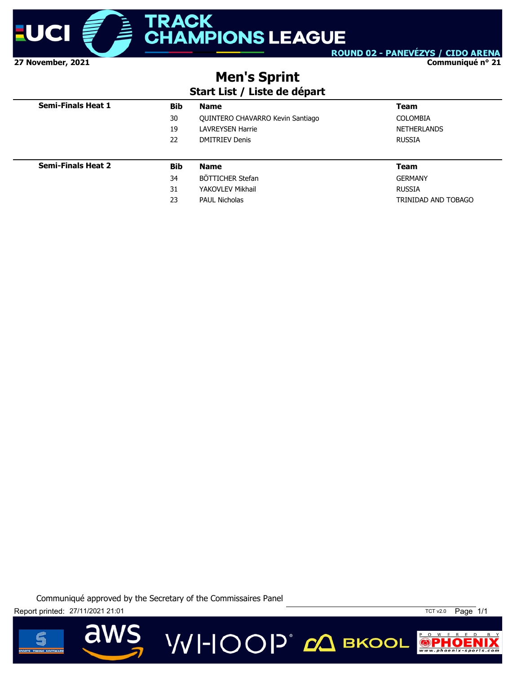

**Communiqué n° 21**

## **Men's Sprint**

### **Start List / Liste de départ**

| <b>Semi-Finals Heat 1</b> | <b>Bib</b> | <b>Name</b>                      | <b>Team</b>        |
|---------------------------|------------|----------------------------------|--------------------|
|                           | 30         | QUINTERO CHAVARRO Kevin Santiago | <b>COLOMBIA</b>    |
|                           | 19         | <b>LAVREYSEN Harrie</b>          | <b>NETHERLANDS</b> |
|                           | 22         | <b>DMITRIEV Denis</b>            | <b>RUSSIA</b>      |
|                           |            |                                  |                    |
| <b>Semi-Finals Heat 2</b> | Bib        | <b>Name</b>                      | Team               |
|                           | 34         | BÖTTICHER Stefan                 | <b>GERMANY</b>     |
|                           |            |                                  |                    |
|                           | 31         | YAKOVLEV Mikhail                 | <b>RUSSIA</b>      |

**VVI-IOOP** 20 BKOOL





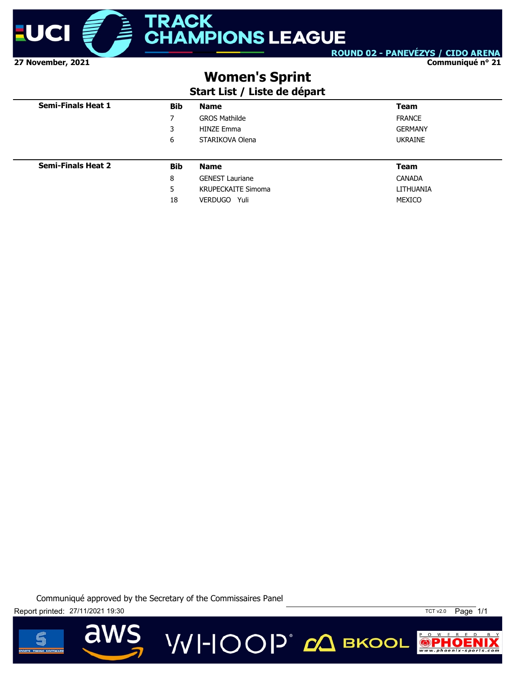

**Communiqué n° 21**

## **Women's Sprint**

### **Start List / Liste de départ**

| <b>Semi-Finals Heat 1</b> | <b>Bib</b> | <b>Name</b>               | <b>Team</b>    |
|---------------------------|------------|---------------------------|----------------|
|                           | 7          | <b>GROS Mathilde</b>      | <b>FRANCE</b>  |
|                           | 3          | <b>HINZE Emma</b>         | <b>GERMANY</b> |
|                           | 6          | STARIKOVA Olena           | <b>UKRAINE</b> |
|                           |            |                           |                |
| <b>Semi-Finals Heat 2</b> | <b>Bib</b> | <b>Name</b>               | <b>Team</b>    |
|                           | 8          | <b>GENEST Lauriane</b>    | <b>CANADA</b>  |
|                           | 5          | <b>KRUPECKAITE Simoma</b> | LITHUANIA      |
|                           | 18         | VERDUGO Yuli              | MEXICO         |

**VVI-IOOP** CA BKOOL





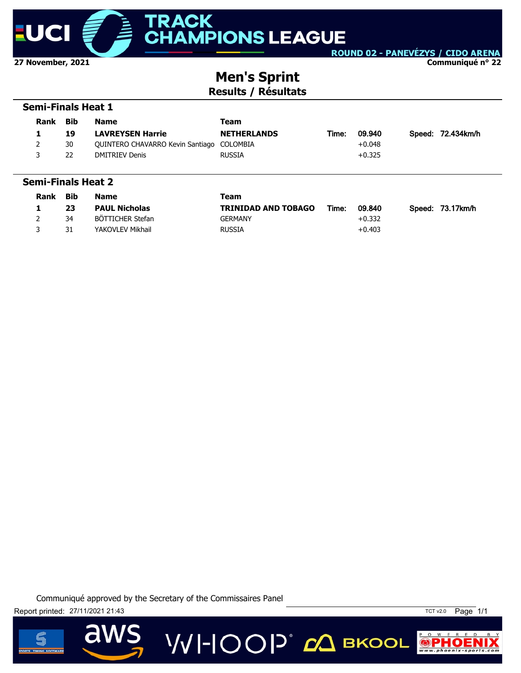

**Communiqué n° 22**

### **Men's Sprint Results / Résultats**

#### **Semi-Finals Heat 1**

| <b>Rank</b> | Bib | <b>Name</b>                               | Team               |       |          |                   |
|-------------|-----|-------------------------------------------|--------------------|-------|----------|-------------------|
|             | 19  | <b>LAVREYSEN Harrie</b>                   | <b>NETHERLANDS</b> | Time: | 09.940   | Speed: 72.434km/h |
| 2           | 30  | QUINTERO CHAVARRO Kevin Santiago COLOMBIA |                    |       | $+0.048$ |                   |
|             | 22  | DMITRIEV Denis                            | <b>RUSSIA</b>      |       | $+0.325$ |                   |

#### **Semi-Finals Heat 2**

| <b>Rank</b> | Bib | <b>Name</b>          | Team                       |       |          |                  |
|-------------|-----|----------------------|----------------------------|-------|----------|------------------|
|             | 23  | <b>PAUL Nicholas</b> | <b>TRINIDAD AND TOBAGO</b> | Time: | 09.840   | Speed: 73.17km/h |
|             | 34  | BÖTTICHER Stefan     | GERMANY                    |       | $+0.332$ |                  |
|             | 31  | YAKOVLEV Mikhail     | <b>RUSSIA</b>              |       | $+0.403$ |                  |





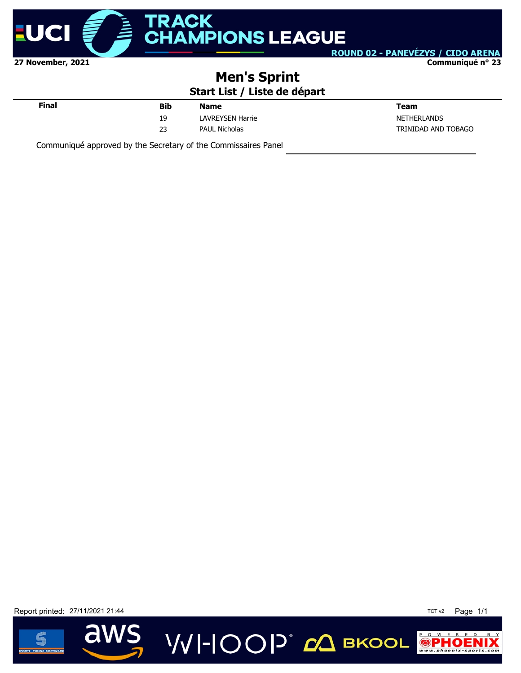

ROUND 02 - PANEVÉZYS / CIDO ARENA **Communiqué n° 23**

## **Men's Sprint**

### **Start List / Liste de départ**

| Final | <b>Bib</b> | <b>Name</b>             | <b>Team</b>         |
|-------|------------|-------------------------|---------------------|
|       | 19<br>--   | <b>LAVREYSEN Harrie</b> | <b>NETHERLANDS</b>  |
|       | 23         | <b>PAUL Nicholas</b>    | TRINIDAD AND TOBAGO |
|       |            |                         |                     |

VVI-IOOP<sup>®</sup> с вкоог

Communiqué approved by the Secretary of the Commissaires Panel

Report printed: 27/11/2021 21:44 TCT v2 Page 1/1



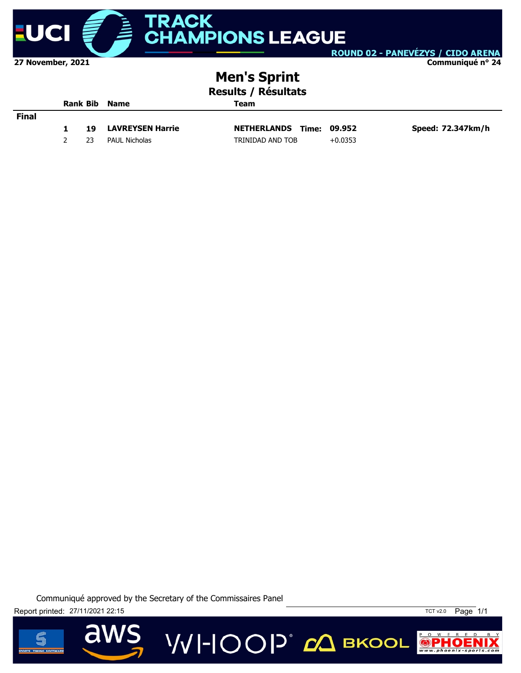

**Communiqué n° 24**

# **Men's Sprint**

**Results / Résultats**

|       |    | <b>Rank Bib Name</b>    | Team                            |           |                   |  |  |
|-------|----|-------------------------|---------------------------------|-----------|-------------------|--|--|
| Final |    |                         |                                 |           |                   |  |  |
|       | 19 | <b>LAVREYSEN Harrie</b> | <b>NETHERLANDS Time: 09.952</b> |           | Speed: 72.347km/h |  |  |
|       | 23 | PAUL Nicholas           | TRINIDAD AND TOB                | $+0.0353$ |                   |  |  |

**VVI-IOOP** ДВКООL

Communiqué approved by the Secretary of the Commissaires Panel

Report printed: 27/11/2021 22:15 TCT v2.0 Page 1/1

d



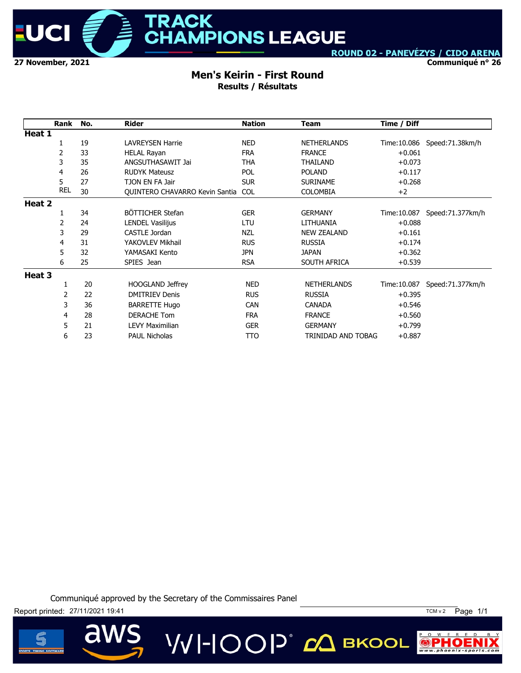

**Communiqué n° 26**

#### **Men's Keirin - First Round Results / Résultats**

|        | Rank       | No. | <b>Rider</b>                   | <b>Nation</b> | <b>Team</b>        | Time / Diff  |                   |
|--------|------------|-----|--------------------------------|---------------|--------------------|--------------|-------------------|
| Heat 1 |            |     |                                |               |                    |              |                   |
|        | 1          | 19  | <b>LAVREYSEN Harrie</b>        | <b>NED</b>    | <b>NETHERLANDS</b> | Time: 10.086 | Speed: 71.38km/h  |
|        | 2          | 33  | <b>HELAL Rayan</b>             | <b>FRA</b>    | <b>FRANCE</b>      | $+0.061$     |                   |
|        | 3          | 35  | ANGSUTHASAWIT Jai              | THA           | THAILAND           | $+0.073$     |                   |
|        | 4          | 26  | <b>RUDYK Mateusz</b>           | <b>POL</b>    | <b>POLAND</b>      | $+0.117$     |                   |
|        | 5          | 27  | TJON EN FA Jair                | <b>SUR</b>    | <b>SURINAME</b>    | $+0.268$     |                   |
|        | <b>REL</b> | 30  | QUINTERO CHAVARRO Kevin Santia | <b>COL</b>    | <b>COLOMBIA</b>    | $+2$         |                   |
| Heat 2 |            |     |                                |               |                    |              |                   |
|        | 1          | 34  | BÖTTICHER Stefan               | <b>GER</b>    | <b>GERMANY</b>     | Time:10.087  | Speed: 71.377km/h |
|        | 2          | 24  | <b>LENDEL Vasilijus</b>        | LTU           | LITHUANIA          | $+0.088$     |                   |
|        | 3          | 29  | CASTLE Jordan                  | <b>NZL</b>    | <b>NEW ZEALAND</b> | $+0.161$     |                   |
|        | 4          | 31  | YAKOVLEV Mikhail               | <b>RUS</b>    | <b>RUSSIA</b>      | $+0.174$     |                   |
|        | 5          | 32  | YAMASAKI Kento                 | <b>JPN</b>    | <b>JAPAN</b>       | $+0.362$     |                   |
|        | 6          | 25  | SPIES Jean                     | <b>RSA</b>    | SOUTH AFRICA       | $+0.539$     |                   |
| Heat 3 |            |     |                                |               |                    |              |                   |
|        | 1          | 20  | <b>HOOGLAND Jeffrey</b>        | <b>NED</b>    | <b>NETHERLANDS</b> | Time: 10.087 | Speed:71.377km/h  |
|        | 2          | 22  | <b>DMITRIEV Denis</b>          | <b>RUS</b>    | <b>RUSSIA</b>      | $+0.395$     |                   |
|        | 3          | 36  | <b>BARRETTE Hugo</b>           | <b>CAN</b>    | <b>CANADA</b>      | $+0.546$     |                   |
|        | 4          | 28  | <b>DERACHE Tom</b>             | <b>FRA</b>    | <b>FRANCE</b>      | $+0.560$     |                   |
|        | 5          | 21  | <b>LEVY Maximilian</b>         | <b>GER</b>    | <b>GERMANY</b>     | $+0.799$     |                   |
|        | 6          | 23  | <b>PAUL Nicholas</b>           | TTO           | TRINIDAD AND TOBAG | $+0.887$     |                   |

Communiqué approved by the Secretary of the Commissaires Panel





 $\overline{\mathbf{d}}$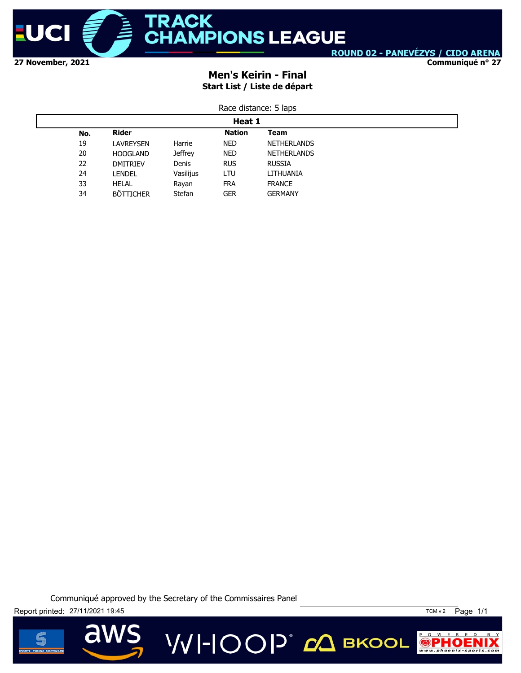

**Communiqué n° 27**

### **Men's Keirin - Final Start List / Liste de départ**

| Race distance: 5 laps |  |  |
|-----------------------|--|--|
|                       |  |  |

|     | Heat 1           |                |               |                    |  |  |
|-----|------------------|----------------|---------------|--------------------|--|--|
| No. | Rider            |                | <b>Nation</b> | Team               |  |  |
| 19  | LAVREYSEN        | Harrie         | <b>NED</b>    | <b>NETHERLANDS</b> |  |  |
| 20  | <b>HOOGLAND</b>  | <b>Jeffrey</b> | <b>NED</b>    | <b>NETHERLANDS</b> |  |  |
| 22  | <b>DMITRIEV</b>  | Denis          | <b>RUS</b>    | <b>RUSSIA</b>      |  |  |
| 24  | LENDEL           | Vasilijus      | LTU           | LITHUANIA          |  |  |
| 33  | <b>HELAL</b>     | Rayan          | <b>FRA</b>    | <b>FRANCE</b>      |  |  |
| 34  | <b>BÖTTICHER</b> | Stefan         | <b>GER</b>    | <b>GERMANY</b>     |  |  |

Communiqué approved by the Secretary of the Commissaires Panel

Report printed: 27/11/2021 19:45 TCM v 2 Page 1/1



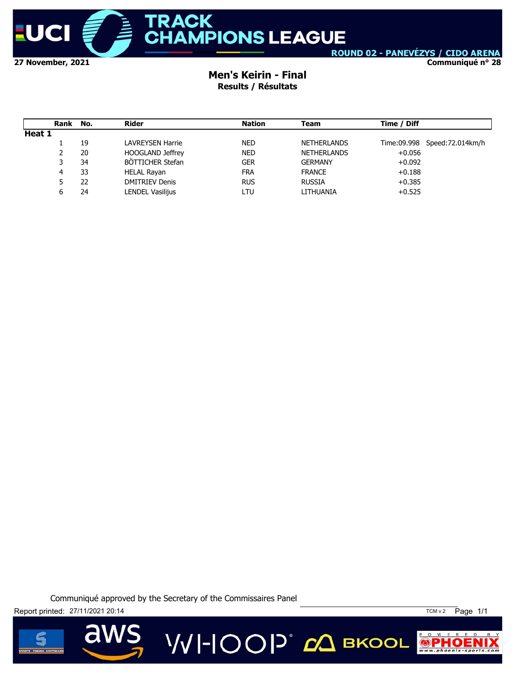

**Communiqué n° 28**

### **Men's Keirin - Final Results / Résultats**

|        | Rank | No. | Rider                   | <b>Nation</b> | Team               | Time / Diff |                              |
|--------|------|-----|-------------------------|---------------|--------------------|-------------|------------------------------|
| Heat 1 |      |     |                         |               |                    |             |                              |
|        |      | 19  | LAVREYSEN Harrie        | <b>NED</b>    | <b>NETHERLANDS</b> |             | Time:09.998 Speed:72.014km/h |
|        | 2    | 20  | <b>HOOGLAND Jeffrey</b> | <b>NED</b>    | <b>NETHERLANDS</b> | $+0.056$    |                              |
|        | 3    | 34  | BÖTTICHER Stefan        | <b>GER</b>    | <b>GERMANY</b>     | $+0.092$    |                              |
|        | 4    | 33  | <b>HELAL Rayan</b>      | <b>FRA</b>    | <b>FRANCE</b>      | $+0.188$    |                              |
|        | 5.   | 22  | <b>DMITRIEV Denis</b>   | <b>RUS</b>    | <b>RUSSIA</b>      | $+0.385$    |                              |
|        | 6    | 24  | LENDEL Vasilijus        | LTU           | LITHUANIA          | $+0.525$    |                              |

Communiqué approved by the Secretary of the Commissaires Panel

Report printed: 27/11/2021 20:14 20:14



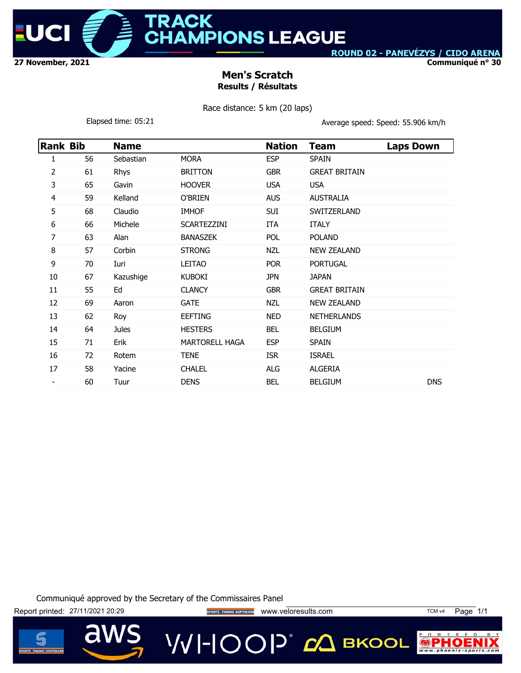

ACK **MPIONS LEAGUE** 

ROUND 02 - PANEVÉZYS / CIDO ARENA

**Communiqué n° 30**

### **Men's Scratch Results / Résultats**

Race distance: 5 km (20 laps)

Elapsed time: 05:21 **Average speed: Speed: 55.906 km/h** 

| <b>Rank Bib</b> |    | <b>Name</b>  |                       | <b>Nation</b> | <b>Team</b>          | <b>Laps Down</b> |
|-----------------|----|--------------|-----------------------|---------------|----------------------|------------------|
| 1               | 56 | Sebastian    | <b>MORA</b>           | <b>ESP</b>    | <b>SPAIN</b>         |                  |
| 2               | 61 | Rhys         | <b>BRITTON</b>        | <b>GBR</b>    | <b>GREAT BRITAIN</b> |                  |
| 3               | 65 | Gavin        | <b>HOOVER</b>         | <b>USA</b>    | <b>USA</b>           |                  |
| 4               | 59 | Kelland      | O'BRIEN               | <b>AUS</b>    | <b>AUSTRALIA</b>     |                  |
| 5               | 68 | Claudio      | <b>IMHOF</b>          | <b>SUI</b>    | SWITZERLAND          |                  |
| 6               | 66 | Michele      | <b>SCARTEZZINI</b>    | ITA           | <b>ITALY</b>         |                  |
| 7               | 63 | Alan         | <b>BANASZEK</b>       | POL           | <b>POLAND</b>        |                  |
| 8               | 57 | Corbin       | <b>STRONG</b>         | <b>NZL</b>    | <b>NEW ZEALAND</b>   |                  |
| 9               | 70 | Iuri         | <b>LEITAO</b>         | <b>POR</b>    | <b>PORTUGAL</b>      |                  |
| 10              | 67 | Kazushige    | <b>KUBOKI</b>         | <b>JPN</b>    | <b>JAPAN</b>         |                  |
| 11              | 55 | Ed           | <b>CLANCY</b>         | <b>GBR</b>    | <b>GREAT BRITAIN</b> |                  |
| 12              | 69 | Aaron        | <b>GATE</b>           | <b>NZL</b>    | <b>NEW ZEALAND</b>   |                  |
| 13              | 62 | Roy          | <b>EEFTING</b>        | <b>NED</b>    | <b>NETHERLANDS</b>   |                  |
| 14              | 64 | <b>Jules</b> | <b>HESTERS</b>        | <b>BEL</b>    | <b>BELGIUM</b>       |                  |
| 15              | 71 | Erik         | <b>MARTORELL HAGA</b> | <b>ESP</b>    | <b>SPAIN</b>         |                  |
| 16              | 72 | Rotem        | <b>TENE</b>           | <b>ISR</b>    | <b>ISRAEL</b>        |                  |
| 17              | 58 | Yacine       | <b>CHALEL</b>         | ALG           | <b>ALGERIA</b>       |                  |
|                 | 60 | Tuur         | <b>DENS</b>           | <b>BEL</b>    | <b>BELGIUM</b>       | <b>DNS</b>       |

Communiqué approved by the Secretary of the Commissaires Panel

Report printed: 27/11/2021 20:29 **Website the SPORTS TIMING SOFTWARE** WWW.Veloresults.com TCM v4 Page 1/1

**VVI-IOOP** CA BKOOL



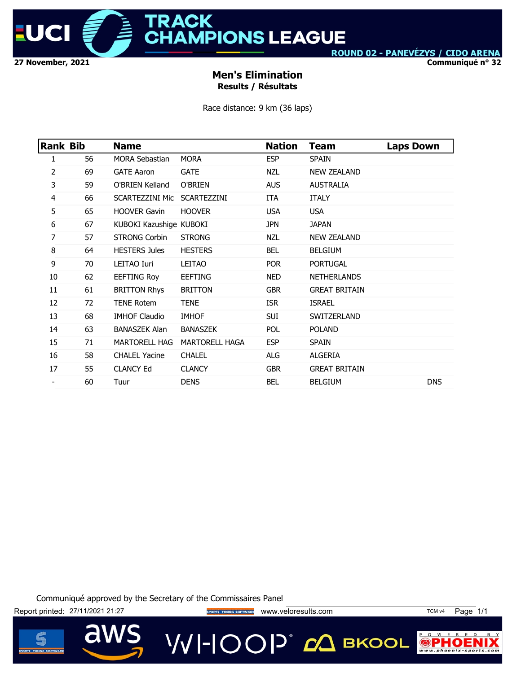

**Communiqué n° 32**

### **Men's Elimination Results / Résultats**

Race distance: 9 km (36 laps)

| <b>Rank Bib</b> |    | <b>Name</b>                 |                       | <b>Nation</b> | Team                 | <b>Laps Down</b> |
|-----------------|----|-----------------------------|-----------------------|---------------|----------------------|------------------|
| 1               | 56 | <b>MORA Sebastian</b>       | <b>MORA</b>           | <b>ESP</b>    | <b>SPAIN</b>         |                  |
| 2               | 69 | <b>GATE Aaron</b>           | <b>GATE</b>           | NZL           | <b>NEW ZEALAND</b>   |                  |
| 3               | 59 | O'BRIEN Kelland             | O'BRIEN               | <b>AUS</b>    | <b>AUSTRALIA</b>     |                  |
| 4               | 66 | SCARTEZZINI Mic SCARTEZZINI |                       | ITA           | <b>ITALY</b>         |                  |
| 5               | 65 | <b>HOOVER Gavin</b>         | <b>HOOVER</b>         | <b>USA</b>    | <b>USA</b>           |                  |
| 6               | 67 | KUBOKI Kazushige KUBOKI     |                       | <b>JPN</b>    | <b>JAPAN</b>         |                  |
| 7               | 57 | <b>STRONG Corbin</b>        | <b>STRONG</b>         | <b>NZL</b>    | <b>NEW ZEALAND</b>   |                  |
| 8               | 64 | <b>HESTERS Jules</b>        | <b>HESTERS</b>        | BEL           | <b>BELGIUM</b>       |                  |
| 9               | 70 | LEITAO Iuri                 | LEITAO                | <b>POR</b>    | <b>PORTUGAL</b>      |                  |
| 10              | 62 | <b>EEFTING Roy</b>          | <b>EEFTING</b>        | NED           | <b>NETHERLANDS</b>   |                  |
| 11              | 61 | <b>BRITTON Rhys</b>         | <b>BRITTON</b>        | <b>GBR</b>    | <b>GREAT BRITAIN</b> |                  |
| 12              | 72 | <b>TENE Rotem</b>           | <b>TENE</b>           | <b>ISR</b>    | <b>ISRAEL</b>        |                  |
| 13              | 68 | <b>IMHOF Claudio</b>        | <b>IMHOF</b>          | SUI           | <b>SWITZERLAND</b>   |                  |
| 14              | 63 | <b>BANASZEK Alan</b>        | <b>BANASZEK</b>       | <b>POL</b>    | <b>POLAND</b>        |                  |
| 15              | 71 | <b>MARTORELL HAG</b>        | <b>MARTORELL HAGA</b> | <b>ESP</b>    | <b>SPAIN</b>         |                  |
| 16              | 58 | <b>CHALEL Yacine</b>        | <b>CHALEL</b>         | <b>ALG</b>    | ALGERIA              |                  |
| 17              | 55 | <b>CLANCY Ed</b>            | <b>CLANCY</b>         | <b>GBR</b>    | <b>GREAT BRITAIN</b> |                  |
|                 | 60 | Tuur                        | <b>DENS</b>           | <b>BEL</b>    | <b>BELGIUM</b>       | <b>DNS</b>       |

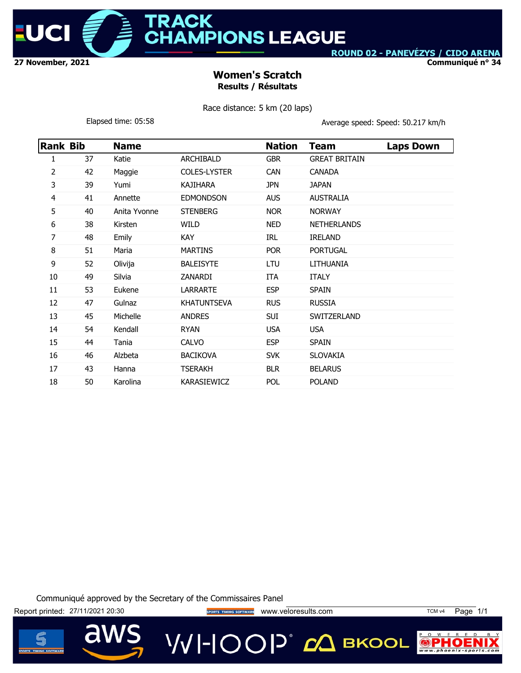

ACK **MPIONS LEAGUE** 

ROUND 02 - PANEVÉZYS / CIDO ARENA

**Communiqué n° 34**

### **Women's Scratch Results / Résultats**

Race distance: 5 km (20 laps)

Elapsed time: 05:58 Clapsed: Speed: Speed: 50.217 km/h

|    | Rank Bib | <b>Name</b>  |                     | <b>Nation</b> | Team                 | <b>Laps Down</b> |
|----|----------|--------------|---------------------|---------------|----------------------|------------------|
| 1  | 37       | Katie        | ARCHIBALD           | <b>GBR</b>    | <b>GREAT BRITAIN</b> |                  |
| 2  | 42       | Maggie       | <b>COLES-LYSTER</b> | <b>CAN</b>    | <b>CANADA</b>        |                  |
| 3  | 39       | Yumi         | <b>KAJIHARA</b>     | <b>JPN</b>    | <b>JAPAN</b>         |                  |
| 4  | 41       | Annette      | <b>EDMONDSON</b>    | <b>AUS</b>    | <b>AUSTRALIA</b>     |                  |
| 5  | 40       | Anita Yvonne | <b>STENBERG</b>     | <b>NOR</b>    | <b>NORWAY</b>        |                  |
| 6  | 38       | Kirsten      | WILD                | <b>NED</b>    | <b>NETHERLANDS</b>   |                  |
| 7  | 48       | Emily        | <b>KAY</b>          | IRL           | <b>IRELAND</b>       |                  |
| 8  | 51       | Maria        | <b>MARTINS</b>      | <b>POR</b>    | <b>PORTUGAL</b>      |                  |
| 9  | 52       | Olivija      | <b>BALEISYTE</b>    | LTU           | LITHUANIA            |                  |
| 10 | 49       | Silvia       | ZANARDI             | ITA           | <b>ITALY</b>         |                  |
| 11 | 53       | Eukene       | <b>LARRARTE</b>     | <b>ESP</b>    | <b>SPAIN</b>         |                  |
| 12 | 47       | Gulnaz       | <b>KHATUNTSEVA</b>  | <b>RUS</b>    | <b>RUSSIA</b>        |                  |
| 13 | 45       | Michelle     | <b>ANDRES</b>       | SUI           | SWITZERLAND          |                  |
| 14 | 54       | Kendall      | <b>RYAN</b>         | <b>USA</b>    | <b>USA</b>           |                  |
| 15 | 44       | Tania        | <b>CALVO</b>        | <b>ESP</b>    | <b>SPAIN</b>         |                  |
| 16 | 46       | Alzbeta      | <b>BACIKOVA</b>     | <b>SVK</b>    | <b>SLOVAKIA</b>      |                  |
| 17 | 43       | Hanna        | <b>TSERAKH</b>      | <b>BLR</b>    | <b>BELARUS</b>       |                  |
| 18 | 50       | Karolina     | <b>KARASIEWICZ</b>  | POL.          | <b>POLAND</b>        |                  |
|    |          |              |                     |               |                      |                  |

Communiqué approved by the Secretary of the Commissaires Panel

Report printed: 27/11/2021 20:30 **VVI-IOOP** 20 BKOOL



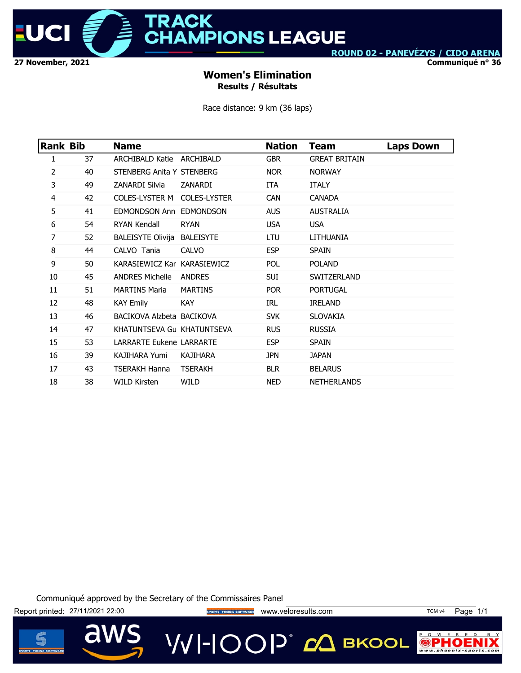

**RACK HAMPIONS LEAGUE** 

ROUND 02 - PANEVÉZYS / CIDO ARENA

**Communiqué n° 36**

### **Women's Elimination Results / Résultats**

Race distance: 9 km (36 laps)

| Rank Bib       |    | <b>Name</b>                        |                | <b>Nation</b> | <b>Team</b>          | <b>Laps Down</b> |
|----------------|----|------------------------------------|----------------|---------------|----------------------|------------------|
| 1              | 37 | ARCHIBALD Katie ARCHIBALD          |                | <b>GBR</b>    | <b>GREAT BRITAIN</b> |                  |
| $\overline{2}$ | 40 | STENBERG Anita Y STENBERG          |                | NOR.          | <b>NORWAY</b>        |                  |
| 3              | 49 | ZANARDI Silvia                     | ZANARDI        | ITA           | <b>ITALY</b>         |                  |
| 4              | 42 | COLES-LYSTER M COLES-LYSTER        |                | <b>CAN</b>    | <b>CANADA</b>        |                  |
| 5              | 41 | EDMONDSON Ann EDMONDSON            |                | AUS.          | <b>AUSTRALIA</b>     |                  |
| 6              | 54 | RYAN Kendall                       | <b>RYAN</b>    | <b>USA</b>    | <b>USA</b>           |                  |
| 7              | 52 | <b>BALEISYTE Olivija BALEISYTE</b> |                | LTU           | LITHUANIA            |                  |
| 8              | 44 | CALVO Tania                        | <b>CALVO</b>   | <b>ESP</b>    | <b>SPAIN</b>         |                  |
| 9              | 50 | KARASIEWICZ Kar KARASIEWICZ        |                | <b>POL</b>    | <b>POLAND</b>        |                  |
| 10             | 45 | ANDRES Michelle ANDRES             |                | SUI.          | SWITZERLAND          |                  |
| 11             | 51 | <b>MARTINS Maria</b>               | <b>MARTINS</b> | <b>POR</b>    | <b>PORTUGAL</b>      |                  |
| 12             | 48 | KAY Emily                          | KAY.           | IRL           | <b>IRELAND</b>       |                  |
| 13             | 46 | BACIKOVA Alzbeta BACIKOVA          |                | <b>SVK</b>    | <b>SLOVAKIA</b>      |                  |
| 14             | 47 | KHATUNTSEVA Gu KHATUNTSEVA         |                | <b>RUS</b>    | <b>RUSSIA</b>        |                  |
| 15             | 53 | <b>LARRARTE Eukene LARRARTE</b>    |                | <b>ESP</b>    | <b>SPAIN</b>         |                  |
| 16             | 39 | <b>KAJIHARA Yumi</b>               | KAJIHARA       | <b>JPN</b>    | <b>JAPAN</b>         |                  |
| 17             | 43 | <b>TSERAKH Hanna</b>               | <b>TSERAKH</b> | <b>BLR</b>    | <b>BELARUS</b>       |                  |
| 18             | 38 | <b>WILD Kirsten</b>                | WILD           | NED.          | <b>NETHERLANDS</b>   |                  |
|                |    |                                    |                |               |                      |                  |

Communiqué approved by the Secretary of the Commissaires Panel

Report printed: 27/11/2021 22:00 sports TIMING SOFTWARE WWW.Veloresults.com TCM v4 Page 1/1 VVI-IOOP® ДВКООL

P O W E